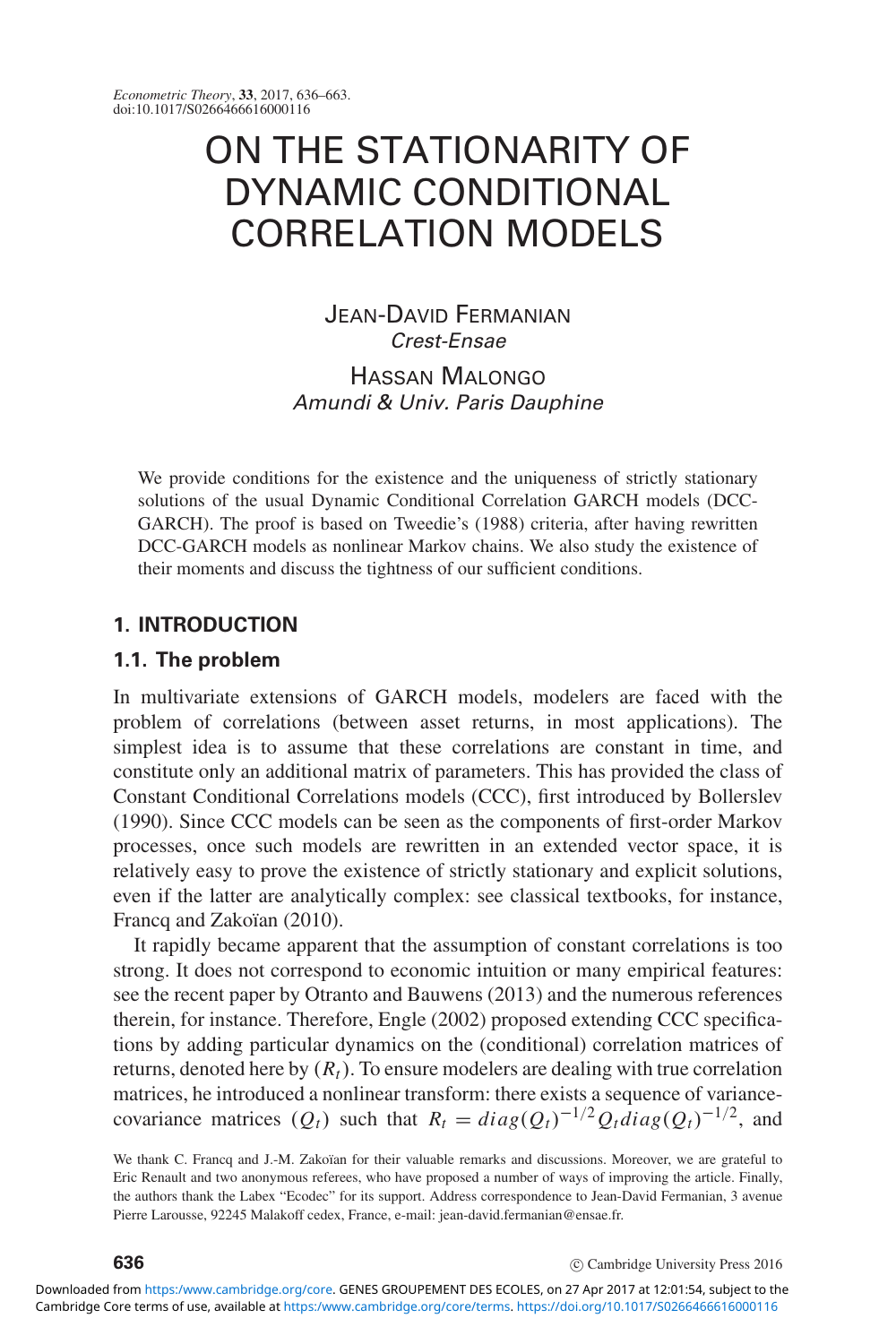# ON THE STATIONARITY OF DYNAMIC CONDITIONAL CORRELATION MODELS

JEAN-DAVID FERMANIAN Crest-Ensae

HASSAN MALONGO Amundi & Univ. Paris Dauphine

We provide conditions for the existence and the uniqueness of strictly stationary solutions of the usual Dynamic Conditional Correlation GARCH models (DCC-GARCH). The proof is based on Tweedie's (1988) criteria, after having rewritten DCC-GARCH models as nonlinear Markov chains. We also study the existence of their moments and discuss the tightness of our sufficient conditions.

### **1. INTRODUCTION**

### **1.1. The problem**

In multivariate extensions of GARCH models, modelers are faced with the problem of correlations (between asset returns, in most applications). The simplest idea is to assume that these correlations are constant in time, and constitute only an additional matrix of parameters. This has provided the class of Constant Conditional Correlations models (CCC), first introduced by Bollerslev (1990). Since CCC models can be seen as the components of first-order Markov processes, once such models are rewritten in an extended vector space, it is relatively easy to prove the existence of strictly stationary and explicit solutions, even if the latter are analytically complex: see classical textbooks, for instance, Francq and Zakoïan (2010).

It rapidly became apparent that the assumption of constant correlations is too strong. It does not correspond to economic intuition or many empirical features: see the recent paper by Otranto and Bauwens (2013) and the numerous references therein, for instance. Therefore, Engle (2002) proposed extending CCC specifications by adding particular dynamics on the (conditional) correlation matrices of returns, denoted here by  $(R_t)$ . To ensure modelers are dealing with true correlation matrices, he introduced a nonlinear transform: there exists a sequence of variancecovariance matrices  $(Q_t)$  such that  $R_t = diag(Q_t)^{-1/2} Q_t diag(Q_t)^{-1/2}$ , and

c Cambridge University Press 2016

We thank C. Francq and J.-M. Zakoïan for their valuable remarks and discussions. Moreover, we are grateful to Eric Renault and two anonymous referees, who have proposed a number of ways of improving the article. Finally, the authors thank the Labex "Ecodec" for its support. Address correspondence to Jean-David Fermanian, 3 avenue Pierre Larousse, 92245 Malakoff cedex, France, e-mail: jean-david.fermanian@ensae.fr.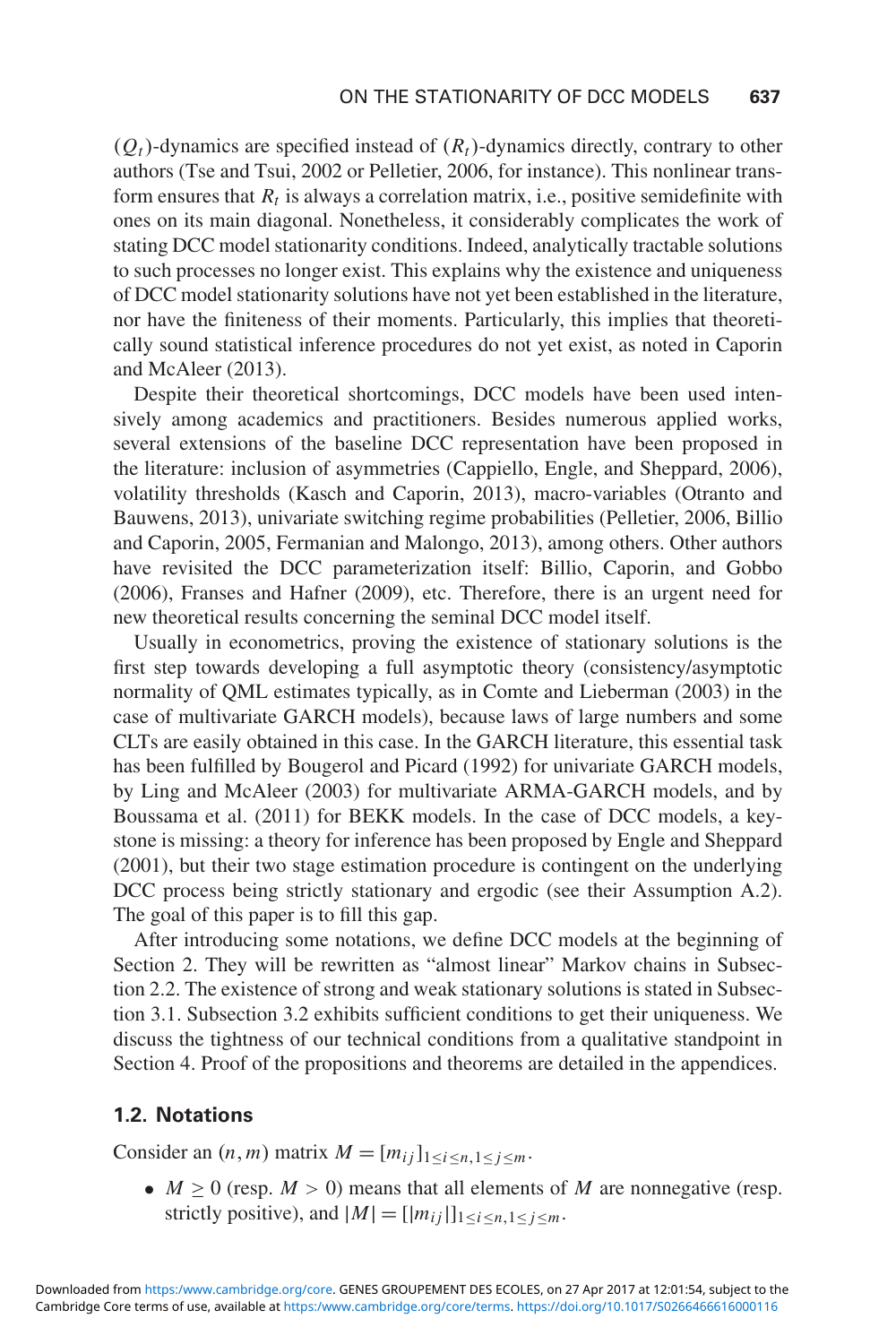$(Q_t)$ -dynamics are specified instead of  $(R_t)$ -dynamics directly, contrary to other authors (Tse and Tsui, 2002 or Pelletier, 2006, for instance). This nonlinear transform ensures that  $R_t$  is always a correlation matrix, i.e., positive semidefinite with ones on its main diagonal. Nonetheless, it considerably complicates the work of stating DCC model stationarity conditions. Indeed, analytically tractable solutions to such processes no longer exist. This explains why the existence and uniqueness of DCC model stationarity solutions have not yet been established in the literature, nor have the finiteness of their moments. Particularly, this implies that theoretically sound statistical inference procedures do not yet exist, as noted in Caporin and McAleer (2013).

Despite their theoretical shortcomings, DCC models have been used intensively among academics and practitioners. Besides numerous applied works, several extensions of the baseline DCC representation have been proposed in the literature: inclusion of asymmetries (Cappiello, Engle, and Sheppard, 2006), volatility thresholds (Kasch and Caporin, 2013), macro-variables (Otranto and Bauwens, 2013), univariate switching regime probabilities (Pelletier, 2006, Billio and Caporin, 2005, Fermanian and Malongo, 2013), among others. Other authors have revisited the DCC parameterization itself: Billio, Caporin, and Gobbo (2006), Franses and Hafner (2009), etc. Therefore, there is an urgent need for new theoretical results concerning the seminal DCC model itself.

Usually in econometrics, proving the existence of stationary solutions is the first step towards developing a full asymptotic theory (consistency/asymptotic normality of QML estimates typically, as in Comte and Lieberman (2003) in the case of multivariate GARCH models), because laws of large numbers and some CLTs are easily obtained in this case. In the GARCH literature, this essential task has been fulfilled by Bougerol and Picard (1992) for univariate GARCH models, by Ling and McAleer (2003) for multivariate ARMA-GARCH models, and by Boussama et al. (2011) for BEKK models. In the case of DCC models, a keystone is missing: a theory for inference has been proposed by Engle and Sheppard (2001), but their two stage estimation procedure is contingent on the underlying DCC process being strictly stationary and ergodic (see their Assumption A.2). The goal of this paper is to fill this gap.

After introducing some notations, we define DCC models at the beginning of Section 2. They will be rewritten as "almost linear" Markov chains in Subsection 2.2. The existence of strong and weak stationary solutions is stated in Subsection 3.1. Subsection 3.2 exhibits sufficient conditions to get their uniqueness. We discuss the tightness of our technical conditions from a qualitative standpoint in Section 4. Proof of the propositions and theorems are detailed in the appendices.

#### **1.2. Notations**

Consider an  $(n, m)$  matrix  $M = [m_{ij}]_{1 \le i \le n, 1 \le j \le m}$ .

•  $M \ge 0$  (resp.  $M > 0$ ) means that all elements of M are nonnegative (resp. strictly positive), and  $|M| = [m_{ij}]|_{1 \le i \le n, 1 \le j \le m}$ .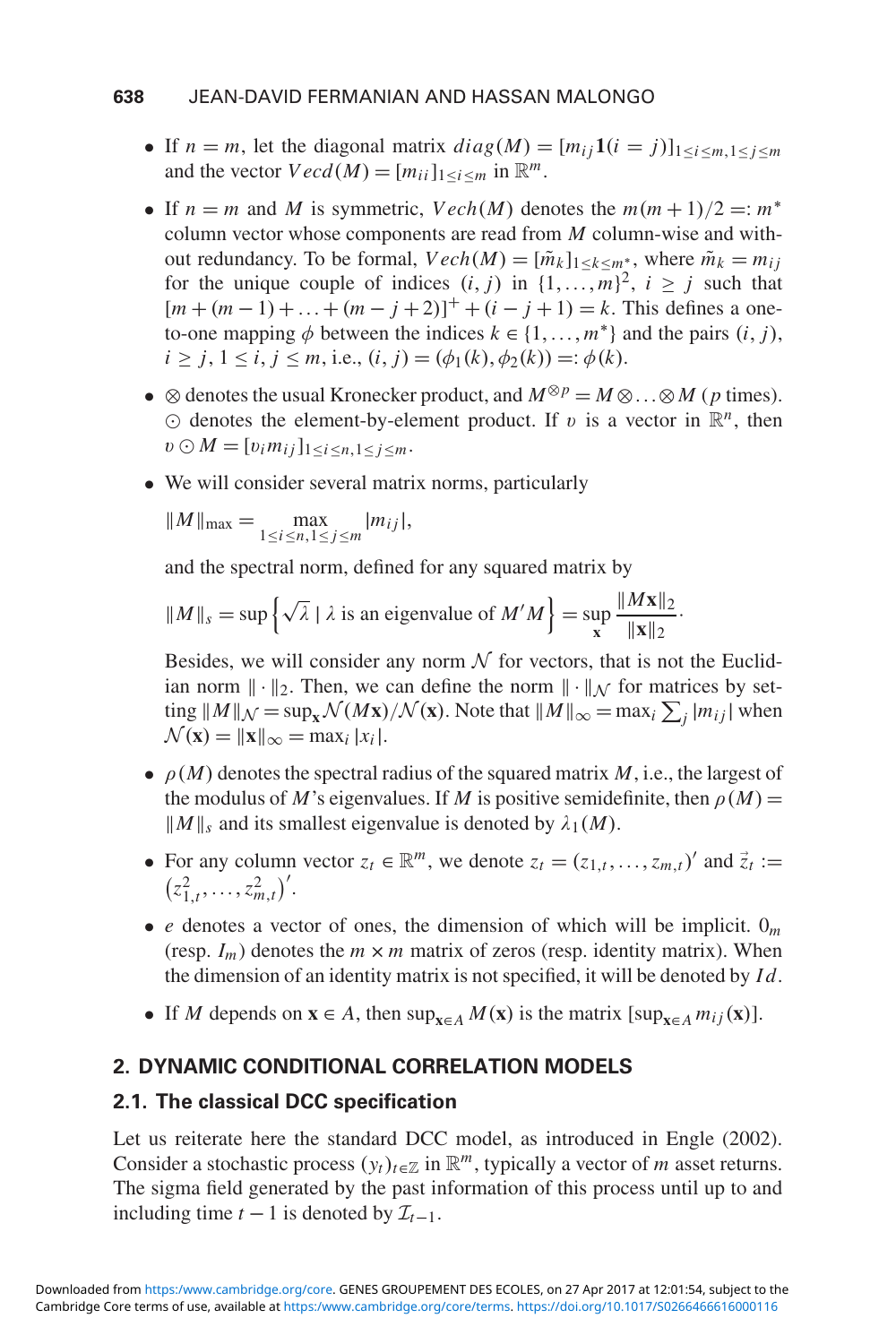#### **638** JEAN-DAVID FERMANIAN AND HASSAN MALONGO

- If  $n = m$ , let the diagonal matrix  $diag(M) = [m_{ij}1(i = j)]_{1 \le i \le m, 1 \le j \le m}$ and the vector  $Vecd(M) = [m_{ii}]_{1 \le i \le m}$  in  $\mathbb{R}^m$ .
- If  $n = m$  and *M* is symmetric, *Vech*(*M*) denotes the  $m(m + 1)/2 = m^*$ column vector whose components are read from *M* column-wise and without redundancy. To be formal,  $Vech(M) = [\tilde{m}_k]_{1 \leq k \leq m^*}$ , where  $\tilde{m}_k = m_{ij}$ for the unique couple of indices  $(i, j)$  in  $\{1, \ldots, m\}^2$ ,  $i \geq j$  such that  $[m + (m - 1) + ... + (m - j + 2)]^+ + (i - j + 1) = k$ . This defines a oneto-one mapping  $\phi$  between the indices  $k \in \{1, ..., m^*\}$  and the pairs  $(i, j)$ ,  $i \geq j$ ,  $1 \leq i, j \leq m$ , i.e.,  $(i, j) = (\phi_1(k), \phi_2(k)) =: \phi(k)$ .
- ⊗ denotes the usual Kronecker product, and  $M^{\otimes p} = M \otimes \ldots \otimes M$  (*p* times).  $\odot$  denotes the element-by-element product. If v is a vector in  $\mathbb{R}^n$ , then  $v \odot M = [v_i m_{ij}]_{1 \le i \le n, 1 \le j \le m}.$
- We will consider several matrix norms, particularly

$$
||M||_{\max} = \max_{1 \le i \le n, 1 \le j \le m} |m_{ij}|,
$$

and the spectral norm, defined for any squared matrix by

$$
||M||_s = \sup \left\{ \sqrt{\lambda} \mid \lambda \text{ is an eigenvalue of } M'M \right\} = \sup_{\mathbf{x}} \frac{||M\mathbf{x}||_2}{||\mathbf{x}||_2}.
$$

Besides, we will consider any norm  $\mathcal N$  for vectors, that is not the Euclidian norm  $\|\cdot\|_2$ . Then, we can define the norm  $\|\cdot\|_{\mathcal{N}}$  for matrices by set- $\lim_{M \to \infty} \|M\|_{\mathcal{N}} = \sup_{\mathbf{x}} \mathcal{N}(M\mathbf{x})/\mathcal{N}(\mathbf{x})$ . Note that  $\|M\|_{\infty} = \max_{i} \sum_{j} |m_{ij}|$  when  $\mathcal{N}(\mathbf{x}) = ||\mathbf{x}||_{\infty} = \max_i |x_i|.$ 

- $\rho(M)$  denotes the spectral radius of the squared matrix *M*, i.e., the largest of the modulus of *M*'s eigenvalues. If *M* is positive semidefinite, then  $\rho(M)$  =  $\|M\|_{s}$  and its smallest eigenvalue is denoted by  $\lambda_1(M)$ .
- For any column vector  $z_t \in \mathbb{R}^m$ , we denote  $z_t = (z_{1,t}, \ldots, z_{m,t})'$  and  $\vec{z}_t :=$  $z_{1,t}^2, \ldots, z_{m,t}^2$ <sup>'</sup>.
- *e* denotes a vector of ones, the dimension of which will be implicit.  $0_m$ (resp.  $I_m$ ) denotes the  $m \times m$  matrix of zeros (resp. identity matrix). When the dimension of an identity matrix is not specified, it will be denoted by *I d*.
- If *M* depends on  $\mathbf{x} \in A$ , then  $\sup_{\mathbf{x} \in A} M(\mathbf{x})$  is the matrix  $[\sup_{\mathbf{x} \in A} m_{ij}(\mathbf{x})]$ .

### **2. DYNAMIC CONDITIONAL CORRELATION MODELS**

### **2.1. The classical DCC specification**

Let us reiterate here the standard DCC model, as introduced in Engle (2002). Consider a stochastic process  $(y_t)_{t \in \mathbb{Z}}$  in  $\mathbb{R}^m$ , typically a vector of *m* asset returns. The sigma field generated by the past information of this process until up to and including time  $t - 1$  is denoted by  $\mathcal{I}_{t-1}$ .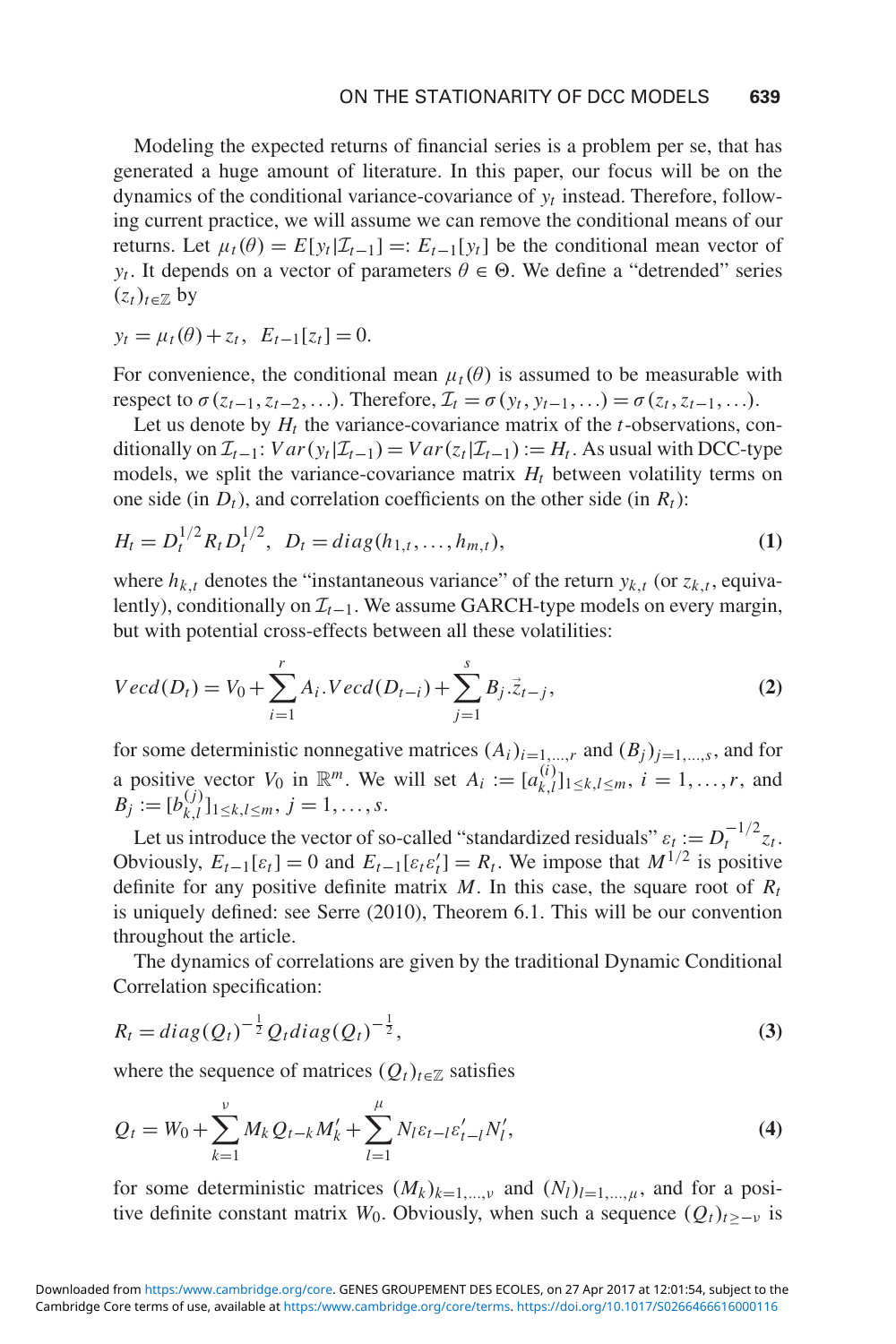Modeling the expected returns of financial series is a problem per se, that has generated a huge amount of literature. In this paper, our focus will be on the dynamics of the conditional variance-covariance of  $y_t$  instead. Therefore, following current practice, we will assume we can remove the conditional means of our returns. Let  $\mu_t(\theta) = E[y_t | \mathcal{I}_{t-1}] =: E_{t-1}[y_t]$  be the conditional mean vector of *y<sub>t</sub>*. It depends on a vector of parameters  $\theta \in \Theta$ . We define a "detrended" series  $(z_t)_{t \in \mathbb{Z}}$  by

$$
y_t = \mu_t(\theta) + z_t, \ \ E_{t-1}[z_t] = 0.
$$

For convenience, the conditional mean  $\mu_t(\theta)$  is assumed to be measurable with respect to  $\sigma(z_{t-1}, z_{t-2}, \ldots)$ . Therefore,  $\mathcal{I}_t = \sigma(y_t, y_{t-1}, \ldots) = \sigma(z_t, z_{t-1}, \ldots)$ .

Let us denote by  $H_t$  the variance-covariance matrix of the *t*-observations, conditionally on  $\mathcal{I}_{t-1}: Var(y_t|\mathcal{I}_{t-1}) = Var(z_t|\mathcal{I}_{t-1}) := H_t$ . As usual with DCC-type models, we split the variance-covariance matrix  $H_t$  between volatility terms on one side (in  $D_t$ ), and correlation coefficients on the other side (in  $R_t$ ):

$$
H_t = D_t^{1/2} R_t D_t^{1/2}, \ D_t = diag(h_{1,t}, \dots, h_{m,t}), \tag{1}
$$

where  $h_{k,t}$  denotes the "instantaneous variance" of the return  $y_{k,t}$  (or  $z_{k,t}$ , equivalently), conditionally on I*t*−1. We assume GARCH-type models on every margin, but with potential cross-effects between all these volatilities:

$$
Vecd(D_t) = V_0 + \sum_{i=1}^r A_i Vecd(D_{t-i}) + \sum_{j=1}^s B_j \cdot \vec{z}_{t-j},
$$
\n(2)

for some deterministic nonnegative matrices  $(A_i)_{i=1,\dots,r}$  and  $(B_j)_{j=1,\dots,s}$ , and for a positive vector  $V_0$  in  $\mathbb{R}^m$ . We will set  $A_i := [a_{k,l}^{(i)}]_{1 \leq k,l \leq m}$ ,  $i = 1,\ldots,r$ , and  $B_j := [b_{k,l}^{(j)}]_{1 \leq k,l \leq m}, j = 1, \ldots, s.$ 

Let us introduce the vector of so-called "standardized residuals"  $\varepsilon_t := D_t^{-1/2} z_t$ . Obviously,  $E_{t-1}[\varepsilon_t] = 0$  and  $E_{t-1}[\varepsilon_t \varepsilon_t'] = R_t$ . We impose that  $M^{1/2}$  is positive definite for any positive definite matrix  $M$ . In this case, the square root of  $R_t$ is uniquely defined: see Serre (2010), Theorem 6.1. This will be our convention throughout the article.

The dynamics of correlations are given by the traditional Dynamic Conditional Correlation specification:

$$
R_t = diag(Q_t)^{-\frac{1}{2}} Q_t diag(Q_t)^{-\frac{1}{2}},
$$
\n(3)

where the sequence of matrices  $(Q_t)_{t \in \mathbb{Z}}$  satisfies

$$
Q_t = W_0 + \sum_{k=1}^{v} M_k Q_{t-k} M'_k + \sum_{l=1}^{\mu} N_l \varepsilon_{t-l} \varepsilon'_{t-l} N'_l,
$$
\n(4)

for some deterministic matrices  $(M_k)_{k=1,\dots,v}$  and  $(N_l)_{l=1,\dots,u}$ , and for a positive definite constant matrix *W*<sub>0</sub>. Obviously, when such a sequence  $(Q_t)_{t>-\nu}$  is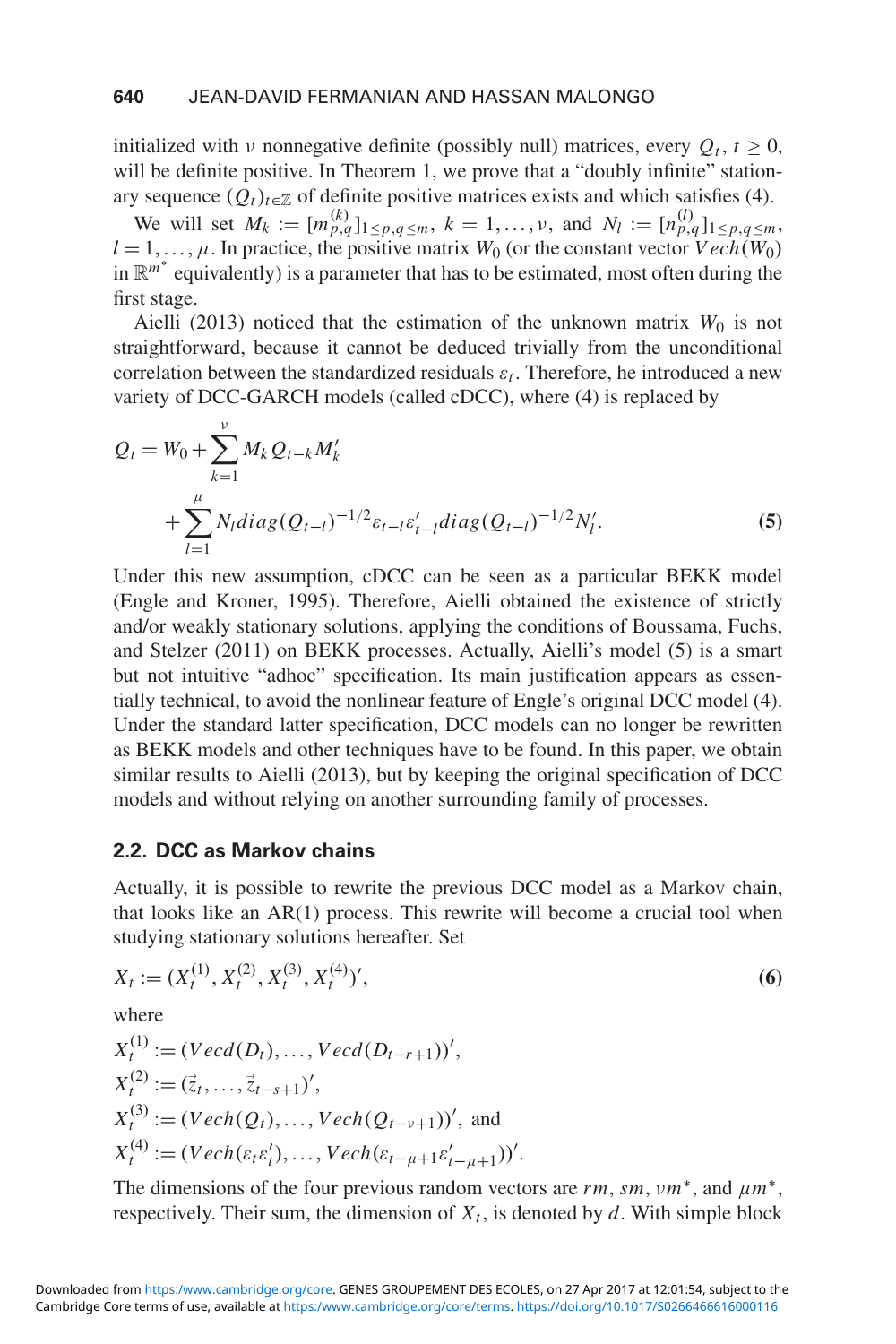initialized with *ν* nonnegative definite (possibly null) matrices, every  $Q_t$ ,  $t \geq 0$ , will be definite positive. In Theorem 1, we prove that a "doubly infinite" stationary sequence  $(Q_t)_{t \in \mathbb{Z}}$  of definite positive matrices exists and which satisfies (4).

We will set  $M_k := [m_{p,q}^{(k)}]_{1 \le p,q \le m}$ ,  $k = 1,..., \nu$ , and  $N_l := [n_{p,q}^{(l)}]_{1 \le p,q \le m}$ ,  $l = 1, \ldots, \mu$ . In practice, the positive matrix *W*<sub>0</sub> (or the constant vector *V ech*(*W*<sub>0</sub>) in R*m*<sup>∗</sup> equivalently) is a parameter that has to be estimated, most often during the first stage.

Aielli (2013) noticed that the estimation of the unknown matrix  $W_0$  is not straightforward, because it cannot be deduced trivially from the unconditional correlation between the standardized residuals  $\varepsilon_t$ . Therefore, he introduced a new variety of DCC-GARCH models (called cDCC), where (4) is replaced by

$$
Q_{t} = W_{0} + \sum_{k=1}^{v} M_{k} Q_{t-k} M'_{k}
$$
  
+ 
$$
\sum_{l=1}^{\mu} N_{l} diag(Q_{t-l})^{-1/2} \varepsilon_{t-l} \varepsilon'_{t-l} diag(Q_{t-l})^{-1/2} N'_{l}.
$$
 (5)

Under this new assumption, cDCC can be seen as a particular BEKK model (Engle and Kroner, 1995). Therefore, Aielli obtained the existence of strictly and/or weakly stationary solutions, applying the conditions of Boussama, Fuchs, and Stelzer (2011) on BEKK processes. Actually, Aielli's model (5) is a smart but not intuitive "adhoc" specification. Its main justification appears as essentially technical, to avoid the nonlinear feature of Engle's original DCC model (4). Under the standard latter specification, DCC models can no longer be rewritten as BEKK models and other techniques have to be found. In this paper, we obtain similar results to Aielli (2013), but by keeping the original specification of DCC models and without relying on another surrounding family of processes.

#### **2.2. DCC as Markov chains**

Actually, it is possible to rewrite the previous DCC model as a Markov chain, that looks like an AR(1) process. This rewrite will become a crucial tool when studying stationary solutions hereafter. Set

$$
X_t := (X_t^{(1)}, X_t^{(2)}, X_t^{(3)}, X_t^{(4)})',\tag{6}
$$

where

$$
X_t^{(1)} := (V e c d(D_t), \dots, V e c d(D_{t-r+1}))',
$$
  
\n
$$
X_t^{(2)} := (\vec{z}_t, \dots, \vec{z}_{t-s+1})',
$$
  
\n
$$
X_t^{(3)} := (V e c h(Q_t), \dots, V e c h(Q_{t-\nu+1}))',
$$
 and  
\n
$$
X_t^{(4)} := (V e c h(\varepsilon_t \varepsilon'_t), \dots, V e c h(\varepsilon_{t-\mu+1} \varepsilon'_{t-\mu+1}))'.
$$

The dimensions of the four previous random vectors are  $rm$ ,  $sm$ ,  $vm$ <sup>\*</sup>, and  $\mu m$ <sup>\*</sup>, respectively. Their sum, the dimension of  $X_t$ , is denoted by  $d$ . With simple block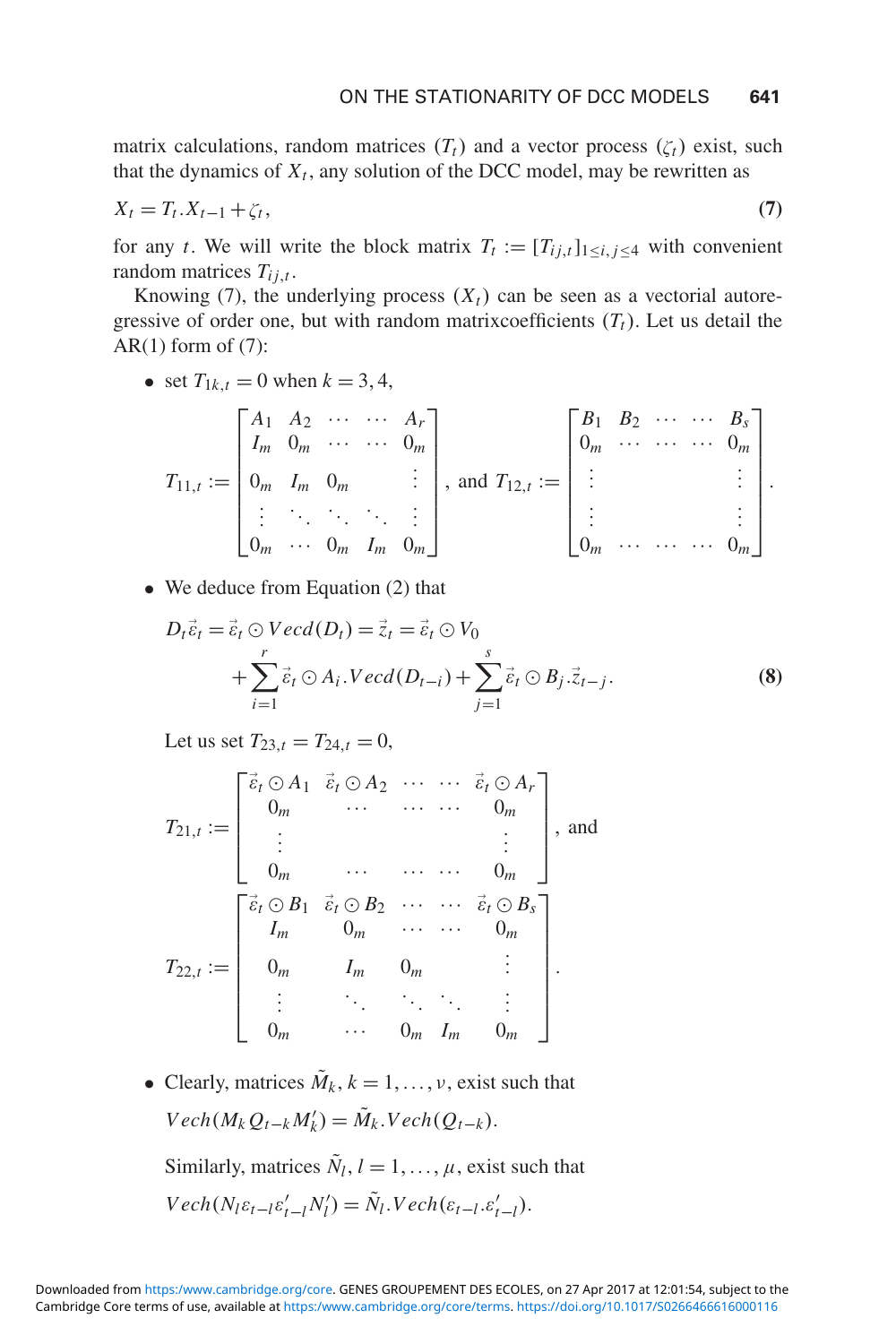matrix calculations, random matrices  $(T_t)$  and a vector process  $(\zeta_t)$  exist, such that the dynamics of  $X_t$ , any solution of the DCC model, may be rewritten as

$$
X_t = T_t \cdot X_{t-1} + \zeta_t,\tag{7}
$$

for any *t*. We will write the block matrix  $T_t := [T_{i,j,t}]_{1 \le i,j \le 4}$  with convenient random matrices  $T_{i,j,t}$ .

Knowing  $(7)$ , the underlying process  $(X_t)$  can be seen as a vectorial autoregressive of order one, but with random matrixcoefficients  $(T_t)$ . Let us detail the  $AR(1)$  form of  $(7)$ :

• set  $T_{1k,t} = 0$  when  $k = 3, 4$ ,

$$
T_{11,t} := \begin{bmatrix} A_1 & A_2 & \cdots & \cdots & A_r \\ I_m & 0_m & \cdots & \cdots & 0_m \\ 0_m & I_m & 0_m & & \vdots \\ \vdots & & \ddots & \ddots & \vdots \\ 0_m & \cdots & 0_m & I_m & 0_m \end{bmatrix}, \text{ and } T_{12,t} := \begin{bmatrix} B_1 & B_2 & \cdots & \cdots & B_s \\ 0_m & \cdots & \cdots & \cdots & 0_m \\ \vdots & & & \vdots \\ \vdots & & & \vdots \\ 0_m & \cdots & \cdots & \cdots & 0_m \end{bmatrix}.
$$

• We deduce from Equation (2) that

$$
D_t \vec{\varepsilon}_t = \vec{\varepsilon}_t \odot V e c d(D_t) = \vec{z}_t = \vec{\varepsilon}_t \odot V_0 + \sum_{i=1}^r \vec{\varepsilon}_t \odot A_i V e c d(D_{t-i}) + \sum_{j=1}^s \vec{\varepsilon}_t \odot B_j \cdot \vec{z}_{t-j}.
$$
 (8)

Let us set  $T_{23,t} = T_{24,t} = 0$ ,

$$
T_{21,t} := \begin{bmatrix} \vec{\varepsilon}_t \odot A_1 & \vec{\varepsilon}_t \odot A_2 & \cdots & \cdots & \vec{\varepsilon}_t \odot A_r \\ 0_m & \cdots & \cdots & \cdots & 0_m \\ \vdots & & & & \vdots \\ 0_m & \cdots & \cdots & \cdots & 0_m \\ \hline \vec{\varepsilon}_t \odot B_1 & \vec{\varepsilon}_t \odot B_2 & \cdots & \cdots & \vec{\varepsilon}_t \odot B_s \\ I_m & 0_m & \cdots & \cdots & 0_m \\ \vdots & \vdots & \ddots & \ddots & \vdots \\ 0_m & I_m & 0_m & \vdots \\ \vdots & \ddots & \ddots & \ddots & \vdots \\ 0_m & \cdots & 0_m & I_m & 0_m \end{bmatrix},
$$
 and

• Clearly, matrices  $\tilde{M}_k$ ,  $k = 1, \ldots, \nu$ , exist such that  $Vech(M_k Q_{t-k} M'_k) = M_k Vech(Q_{t-k}).$ 

Similarly, matrices  $\tilde{N}_l$ ,  $l = 1, \ldots, \mu$ , exist such that  $\text{V}ech(N_l\varepsilon_{t-l}\varepsilon'_{t-l}N'_l) = N_l.\text{V}ech(\varepsilon_{t-l}\varepsilon'_{t-l}).$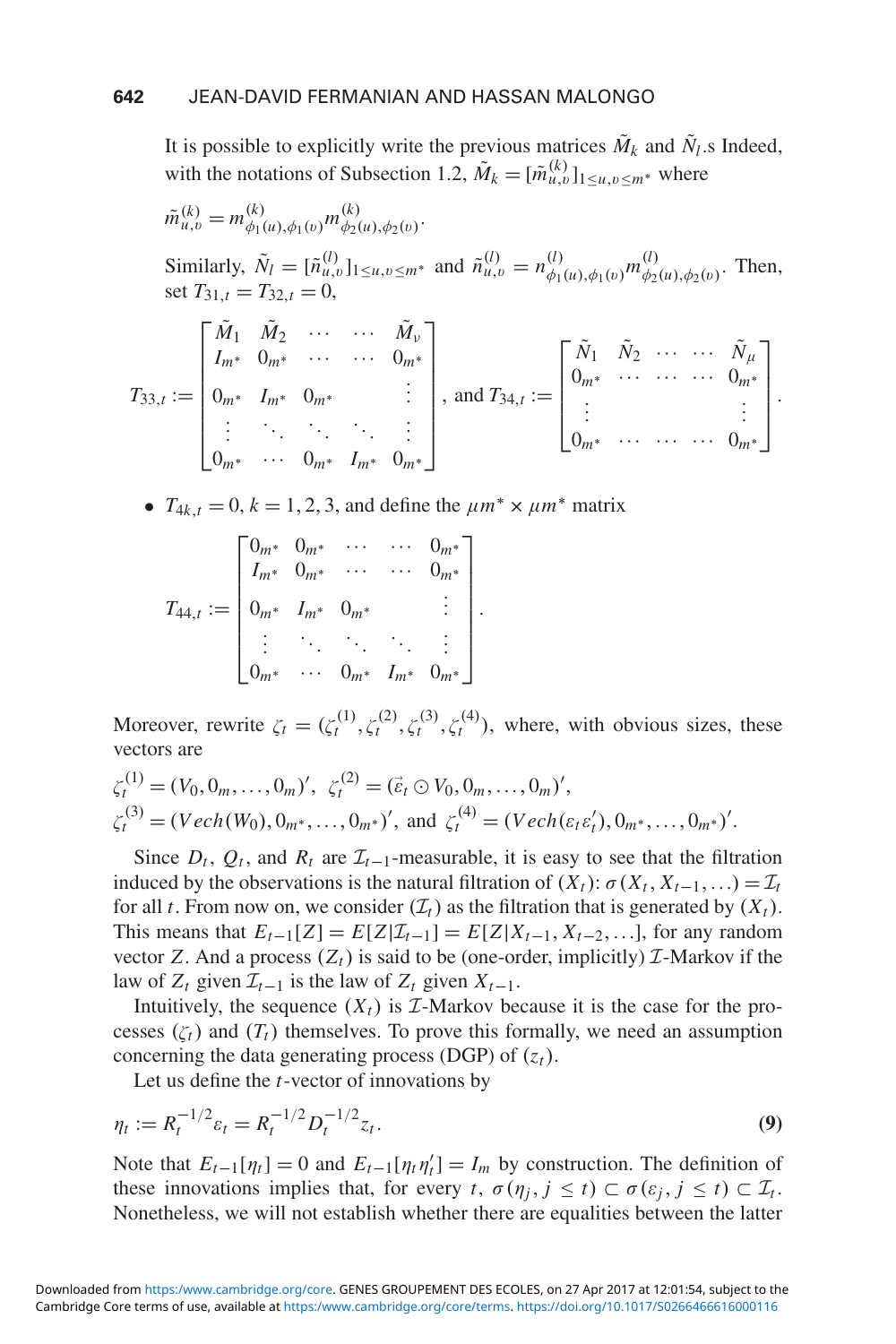It is possible to explicitly write the previous matrices  $\tilde{M}_k$  and  $\tilde{N}_l$ .s Indeed, with the notations of Subsection 1.2,  $\tilde{M}_k = [\tilde{m}_{u,v}^{(k)}]_{1 \le u, v \le m^*}$  where

$$
\tilde{m}_{u,v}^{(k)} = m_{\phi_1(u),\phi_1(v)}^{(k)} m_{\phi_2(u),\phi_2(v)}^{(k)}.
$$
\nSimilarly,  $\tilde{N}_l = [\tilde{n}_{u,v}^{(l)}]_{1 \le u,v \le m^*}$  and  $\tilde{n}_{u,v}^{(l)} = n_{\phi_1(u),\phi_1(v)}^{(l)} m_{\phi_2(u),\phi_2(v)}^{(l)}$ . Then,  
\nset  $T_{31,t} = T_{32,t} = 0$ ,  
\n
$$
T_{33,t} := \begin{bmatrix} \tilde{M}_1 & \tilde{M}_2 & \cdots & \tilde{M}_v \\ I_{m^*} & 0_{m^*} & \cdots & 0_{m^*} \\ 0_{m^*} & I_{m^*} & 0_{m^*} & \vdots \\ \vdots & \ddots & \ddots & \vdots \\ 0_{m^*} & \cdots & 0_{m^*} & I_{m^*} & 0_{m^*} \end{bmatrix}, \text{ and } T_{34,t} := \begin{bmatrix} \tilde{N}_1 & \tilde{N}_2 & \cdots & \cdots & \tilde{N}_\mu \\ 0_{m^*} & \cdots & \cdots & 0_{m^*} \\ \vdots & \vdots & \vdots \\ 0_{m^*} & \cdots & \cdots & 0_{m^*} \end{bmatrix}.
$$

•  $T_{4k,t} = 0, k = 1, 2, 3$ , and define the  $\mu m^* \times \mu m^*$  matrix

$$
T_{44,t} := \begin{bmatrix} 0_{m^*} & 0_{m^*} & \cdots & \cdots & 0_{m^*} \\ I_{m^*} & 0_{m^*} & \cdots & \cdots & 0_{m^*} \\ 0_{m^*} & I_{m^*} & 0_{m^*} & & \vdots \\ \vdots & \ddots & \ddots & \ddots & \vdots \\ 0_{m^*} & \cdots & 0_{m^*} & I_{m^*} & 0_{m^*} \end{bmatrix}
$$

Moreover, rewrite  $\zeta_t = (\zeta_t^{(1)}, \zeta_t^{(2)}, \zeta_t^{(3)}, \zeta_t^{(4)})$ , where, with obvious sizes, these vectors are

.

$$
\zeta_t^{(1)} = (V_0, 0_m, \dots, 0_m)', \ \zeta_t^{(2)} = (\vec{\varepsilon}_t \odot V_0, 0_m, \dots, 0_m)', \n\zeta_t^{(3)} = (Vech(W_0), 0_{m^*}, \dots, 0_{m^*})', \text{ and } \zeta_t^{(4)} = (Vech(\varepsilon_t \varepsilon'_t), 0_{m^*}, \dots, 0_{m^*})'.
$$

Since  $D_t$ ,  $Q_t$ , and  $R_t$  are  $\mathcal{I}_{t-1}$ -measurable, it is easy to see that the filtration induced by the observations is the natural filtration of  $(X_t)$ :  $\sigma(X_t, X_{t-1},...) = \mathcal{I}_t$ for all *t*. From now on, we consider  $(\mathcal{I}_t)$  as the filtration that is generated by  $(X_t)$ . This means that  $E_{t-1}[Z] = E[Z|\mathcal{I}_{t-1}] = E[Z|X_{t-1}, X_{t-2}, \ldots]$ , for any random vector *Z*. And a process  $(Z_t)$  is said to be (one-order, implicitly) *I*-Markov if the law of  $Z_t$  given  $\mathcal{I}_{t-1}$  is the law of  $Z_t$  given  $X_{t-1}$ .

Intuitively, the sequence  $(X_t)$  is  $\mathcal{I}$ -Markov because it is the case for the processes  $(\zeta_t)$  and  $(T_t)$  themselves. To prove this formally, we need an assumption concerning the data generating process (DGP) of  $(z_t)$ .

Let us define the *t*-vector of innovations by

$$
\eta_t := R_t^{-1/2} \varepsilon_t = R_t^{-1/2} D_t^{-1/2} z_t.
$$
\n(9)

Note that  $E_{t-1}[\eta_t] = 0$  and  $E_{t-1}[\eta_t \eta_t'] = I_m$  by construction. The definition of these innovations implies that, for every *t*,  $\sigma(\eta_i, j \le t) \subset \sigma(\varepsilon_i, j \le t) \subset \mathcal{I}_t$ . Nonetheless, we will not establish whether there are equalities between the latter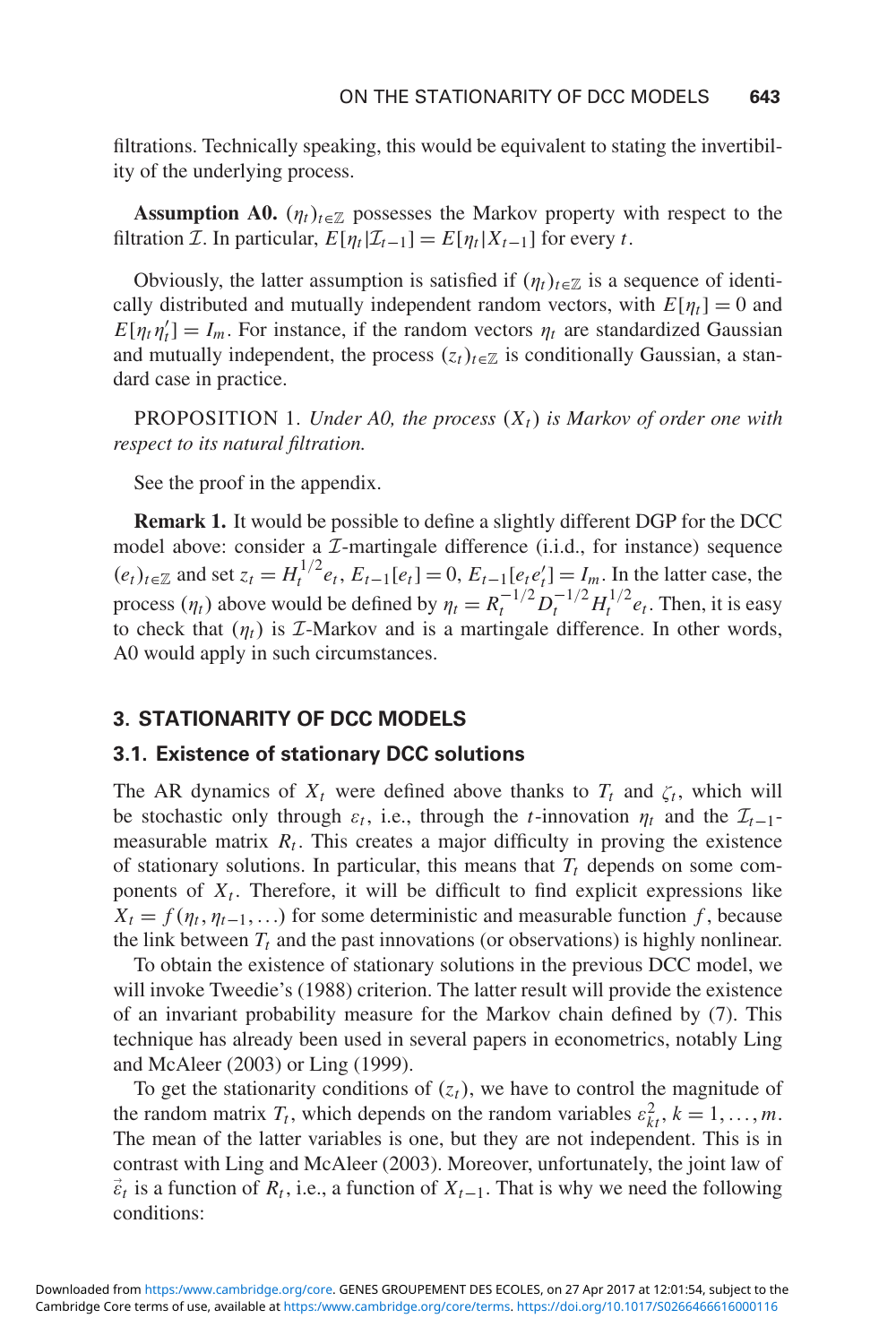filtrations. Technically speaking, this would be equivalent to stating the invertibility of the underlying process.

**Assumption A0.**  $(\eta_t)_{t \in \mathbb{Z}}$  possesses the Markov property with respect to the filtration *I*. In particular,  $E[\eta_t|\mathcal{I}_{t-1}] = E[\eta_t|X_{t-1}]$  for every *t*.

Obviously, the latter assumption is satisfied if  $(\eta_t)_{t\in\mathbb{Z}}$  is a sequence of identically distributed and mutually independent random vectors, with  $E[\eta_t] = 0$  and  $E[\eta_t \eta'_t] = I_m$ . For instance, if the random vectors  $\eta_t$  are standardized Gaussian and mutually independent, the process  $(z_t)_{t\in\mathbb{Z}}$  is conditionally Gaussian, a standard case in practice.

**PROPOSITION 1.** *Under A0, the process*  $(X_t)$  *is Markov of order one with respect to its natural filtration.*

See the proof in the appendix.

**Remark 1.** It would be possible to define a slightly different DGP for the DCC model above: consider a  $\mathcal I$ -martingale difference (i.i.d., for instance) sequence  $(e_t)_{t \in \mathbb{Z}}$  and set  $z_t = H_t^{1/2} e_t, E_{t-1}[e_t] = 0, E_{t-1}[e_t e_t'] = I_m$ . In the latter case, the process  $(\eta_t)$  above would be defined by  $\eta_t = R_t^{-1/2} D_t^{-1/2} H_t^{1/2} e_t$ . Then, it is easy to check that  $(\eta_t)$  is  $\mathcal{I}$ -Markov and is a martingale difference. In other words, A0 would apply in such circumstances.

#### **3. STATIONARITY OF DCC MODELS**

#### **3.1. Existence of stationary DCC solutions**

The AR dynamics of  $X_t$  were defined above thanks to  $T_t$  and  $\zeta_t$ , which will be stochastic only through  $\varepsilon_t$ , i.e., through the *t*-innovation  $\eta_t$  and the  $\mathcal{I}_{t-1}$ measurable matrix  $R_t$ . This creates a major difficulty in proving the existence of stationary solutions. In particular, this means that  $T_t$  depends on some components of  $X_t$ . Therefore, it will be difficult to find explicit expressions like  $X_t = f(\eta_t, \eta_{t-1}, \ldots)$  for some deterministic and measurable function *f*, because the link between  $T_t$  and the past innovations (or observations) is highly nonlinear.

To obtain the existence of stationary solutions in the previous DCC model, we will invoke Tweedie's (1988) criterion. The latter result will provide the existence of an invariant probability measure for the Markov chain defined by (7). This technique has already been used in several papers in econometrics, notably Ling and McAleer (2003) or Ling (1999).

To get the stationarity conditions of  $(z_t)$ , we have to control the magnitude of the random matrix  $T_t$ , which depends on the random variables  $\varepsilon_{kt}^2$ ,  $k = 1, ..., m$ . The mean of the latter variables is one, but they are not independent. This is in contrast with Ling and McAleer (2003). Moreover, unfortunately, the joint law of  $\vec{\epsilon}_t$  is a function of  $R_t$ , i.e., a function of  $X_{t-1}$ . That is why we need the following conditions: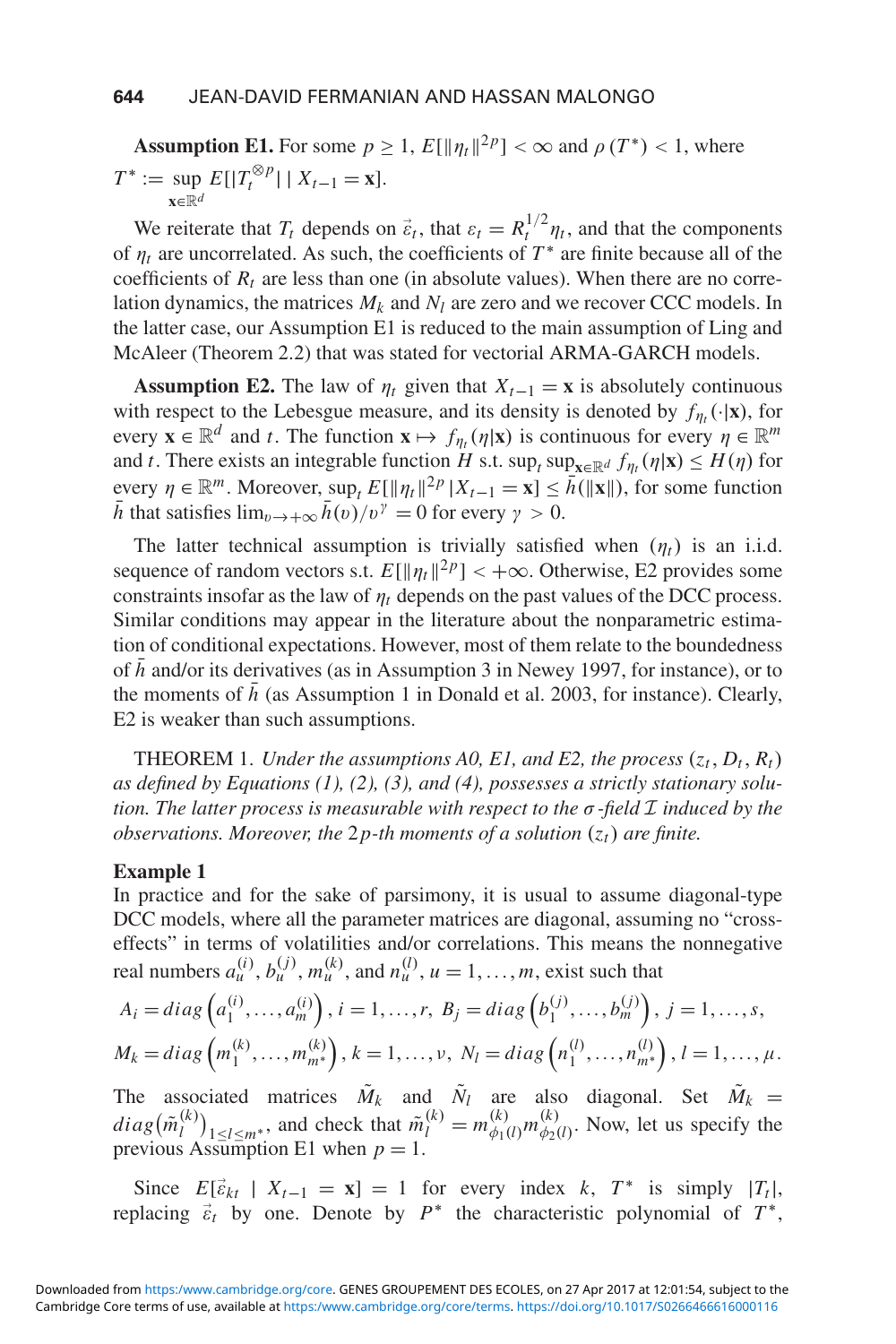**Assumption E1.** For some  $p \ge 1$ ,  $E[\|\eta_t\|^{2p}] < \infty$  and  $p(T^*) < 1$ , where  $T^* := \sup_{t \in [T_t^{\otimes p} | t]} E[T_t^{\otimes p}] | X_{t-1} = \mathbf{x}].$ **<sup>x</sup>**∈R*<sup>d</sup>*

We reiterate that  $T_t$  depends on  $\vec{\varepsilon}_t$ , that  $\varepsilon_t = R_t^{1/2} \eta_t$ , and that the components of  $\eta_t$  are uncorrelated. As such, the coefficients of  $T^*$  are finite because all of the coefficients of  $R_t$  are less than one (in absolute values). When there are no correlation dynamics, the matrices  $M_k$  and  $N_l$  are zero and we recover CCC models. In the latter case, our Assumption E1 is reduced to the main assumption of Ling and McAleer (Theorem 2.2) that was stated for vectorial ARMA-GARCH models.

**Assumption E2.** The law of  $\eta_t$  given that  $X_{t-1} = \mathbf{x}$  is absolutely continuous with respect to the Lebesgue measure, and its density is denoted by  $f_{n}(\cdot|\mathbf{x})$ , for every  $\mathbf{x} \in \mathbb{R}^d$  and *t*. The function  $\mathbf{x} \mapsto f_{\eta_t}(\eta|\mathbf{x})$  is continuous for every  $\eta \in \mathbb{R}^m$ and *t*. There exists an integrable function *H* s.t.  $\sup_t \sup_{x \in \mathbb{R}^d} f_{\eta_t}(\eta | x) \le H(\eta)$  for every  $\eta \in \mathbb{R}^m$ . Moreover,  $\sup_t E[\|\eta_t\|^{2p} | X_{t-1} = \mathbf{x}] \leq \bar{h}(\|\mathbf{x}\|)$ , for some function  $\bar{h}$  that satisfies  $\lim_{n\to+\infty} \bar{h}(v)/v^{\gamma} = 0$  for every  $\gamma > 0$ .

The latter technical assumption is trivially satisfied when  $(\eta_t)$  is an i.i.d. sequence of random vectors s.t.  $E[\|\eta_t\|^{2p}] < +\infty$ . Otherwise, E2 provides some constraints insofar as the law of  $n_t$  depends on the past values of the DCC process. Similar conditions may appear in the literature about the nonparametric estimation of conditional expectations. However, most of them relate to the boundedness of *h* and/or its derivatives (as in Assumption 3 in Newey 1997, for instance), or to the moments of  $h$  (as Assumption 1 in Donald et al. 2003, for instance). Clearly, E2 is weaker than such assumptions.

**THEOREM** 1. *Under the assumptions A0, E1, and E2, the process*  $(z_t, D_t, R_t)$ *as defined by Equations (1), (2), (3), and (4), possesses a strictly stationary solution. The latter process is measurable with respect to the* σ*-field* I *induced by the observations. Moreover, the*  $2p$ -th moments of a solution  $(z_t)$  are finite.

#### **Example 1**

In practice and for the sake of parsimony, it is usual to assume diagonal-type DCC models, where all the parameter matrices are diagonal, assuming no "crosseffects" in terms of volatilities and/or correlations. This means the nonnegative real numbers  $a_u^{(i)}$ ,  $b_u^{(j)}$ ,  $m_u^{(k)}$ , and  $n_u^{(l)}$ ,  $u = 1, \ldots, m$ , exist such that

$$
A_i = diag\left(a_1^{(i)}, \ldots, a_m^{(i)}\right), i = 1, \ldots, r, B_j = diag\left(b_1^{(j)}, \ldots, b_m^{(j)}\right), j = 1, \ldots, s,
$$
  

$$
M_k = diag\left(m_1^{(k)}, \ldots, m_{m^*}^{(k)}\right), k = 1, \ldots, v, N_l = diag\left(n_1^{(l)}, \ldots, n_{m^*}^{(l)}\right), l = 1, \ldots, \mu.
$$

The associated matrices  $\tilde{M}_k$  and  $\tilde{N}_l$  are also diagonal. Set  $\tilde{M}_k$  =  $diag(\tilde{m}_l^{(k)})_{1 \leq l \leq m^*}$ , and check that  $\tilde{m}_l^{(k)} = m_{\phi_1(l)}^{(k)} m_{\phi_2(l)}^{(k)}$ . Now, let us specify the previous Assumption E1 when  $p = 1$ .

Since  $E[\vec{\varepsilon}_{kt} | X_{t-1} = \mathbf{x}] = 1$  for every index *k*,  $T^*$  is simply  $|T_t|$ , replacing  $\vec{\varepsilon}_t$  by one. Denote by  $P^*$  the characteristic polynomial of  $T^*$ ,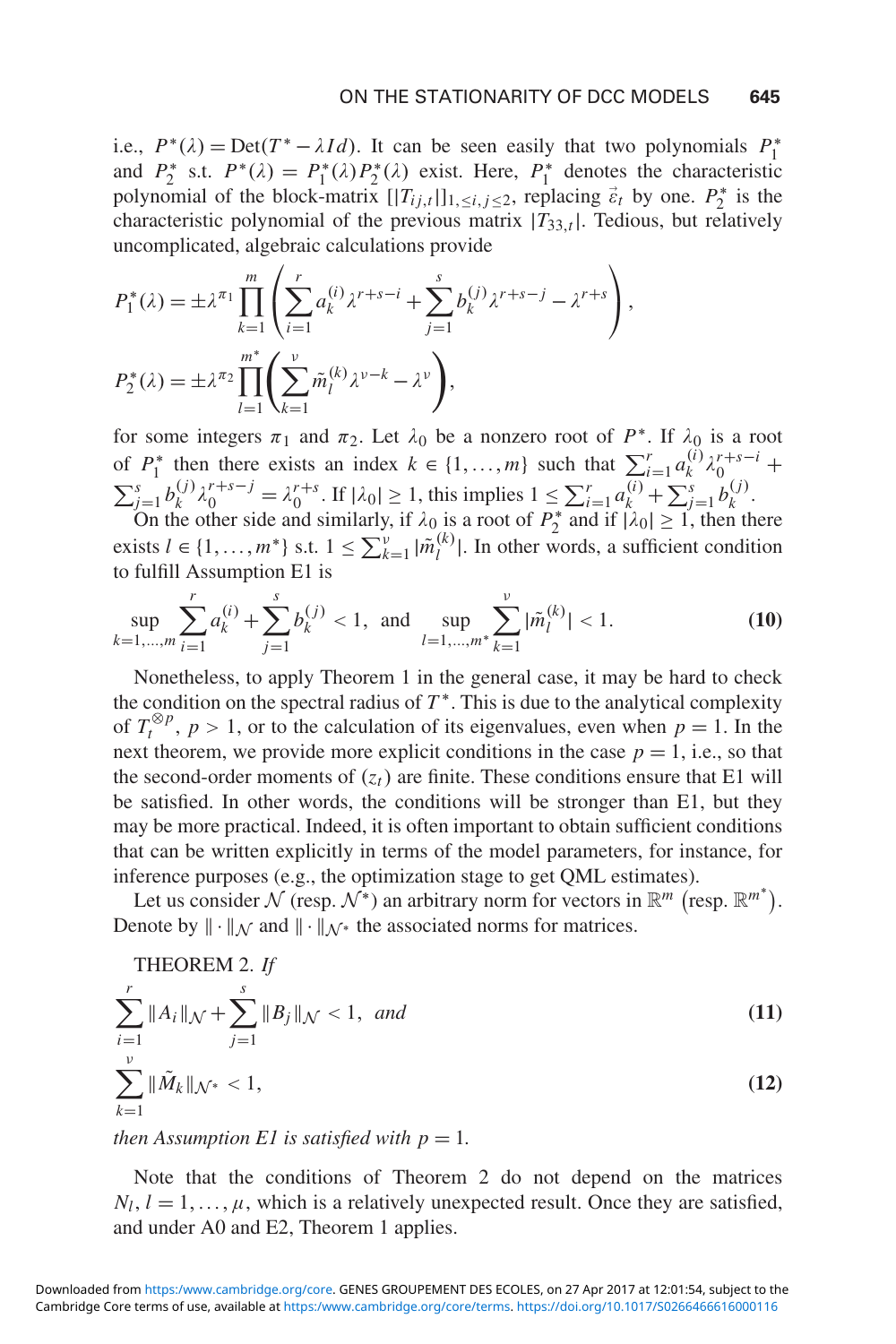i.e.,  $P^*(\lambda) = \text{Det}(T^* - \lambda Id)$ . It can be seen easily that two polynomials  $P_1^*$ and  $P_2^*$  s.t.  $P^*(\lambda) = P_1^*(\lambda)P_2^*(\lambda)$  exist. Here,  $P_1^*$  denotes the characteristic polynomial of the block-matrix  $[|T_{ij,t}|]_{1, \le i, j \le 2}$ , replacing  $\vec{\varepsilon}_t$  by one.  $P_2^*$  is the characteristic polynomial of the previous matrix  $|T_{33,t}|$ . Tedious, but relatively uncomplicated, algebraic calculations provide

$$
P_1^*(\lambda) = \pm \lambda^{\pi_1} \prod_{k=1}^m \left( \sum_{i=1}^r a_k^{(i)} \lambda^{r+s-i} + \sum_{j=1}^s b_k^{(j)} \lambda^{r+s-j} - \lambda^{r+s} \right),
$$
  

$$
P_2^*(\lambda) = \pm \lambda^{\pi_2} \prod_{l=1}^{m^*} \left( \sum_{k=1}^v \tilde{m}_l^{(k)} \lambda^{v-k} - \lambda^v \right),
$$

for some integers  $\pi_1$  and  $\pi_2$ . Let  $\lambda_0$  be a nonzero root of  $P^*$ . If  $\lambda_0$  is a root of  $P_1^*$  then there exists an index  $k \in \{1, ..., m\}$  such that  $\sum_{i=1}^r a_k^{(i)} \lambda_0^{r+s-i}$  +  $\sum_{j=1}^s b_k^{(j)} \lambda_0^{r+s-j} = \lambda_0^{r+s}$ . If  $|\lambda_0| \ge 1$ , this implies  $1 \le \sum_{i=1}^r a_k^{(i)} + \sum_{j=1}^s b_k^{(j)}$ .

On the other side and similarly, if  $\lambda_0$  is a root of  $P_2^*$  and if  $|\lambda_0| \ge 1$ , then there exists  $l \in \{1, ..., m^*\}$  s.t.  $1 \le \sum_{k=1}^{\nu} |\tilde{m}_l^{(k)}|$ . In other words, a sufficient condition to fulfill Assumption E1 is

$$
\sup_{k=1,\dots,m} \sum_{i=1}^r a_k^{(i)} + \sum_{j=1}^s b_k^{(j)} < 1, \text{ and } \sup_{l=1,\dots,m^*} \sum_{k=1}^v |\tilde{m}_l^{(k)}| < 1. \tag{10}
$$

Nonetheless, to apply Theorem 1 in the general case, it may be hard to check the condition on the spectral radius of  $T^*$ . This is due to the analytical complexity of  $T_t^{\otimes p}$ ,  $p > 1$ , or to the calculation of its eigenvalues, even when  $p = 1$ . In the next theorem, we provide more explicit conditions in the case  $p = 1$ , i.e., so that the second-order moments of  $(z_t)$  are finite. These conditions ensure that E1 will be satisfied. In other words, the conditions will be stronger than E1, but they may be more practical. Indeed, it is often important to obtain sufficient conditions that can be written explicitly in terms of the model parameters, for instance, for inference purposes (e.g., the optimization stage to get QML estimates).

Let us consider  $N$  (resp.  $N^*$ ) an arbitrary norm for vectors in  $\mathbb{R}^m$  (resp.  $\mathbb{R}^{m^*}$ ). Denote by  $\|\cdot\|_{\mathcal{N}}$  and  $\|\cdot\|_{\mathcal{N}^*}$  the associated norms for matrices.

THEOREM 2. *If*

$$
\sum_{\substack{i=1 \ v}}^{r} \|A_i\|_{\mathcal{N}} + \sum_{j=1}^{s} \|B_j\|_{\mathcal{N}} < 1, \ \text{and} \tag{11}
$$

$$
\sum_{k=1}^{\nu} \|\tilde{M}_k\|_{\mathcal{N}^*} < 1,\tag{12}
$$

*then Assumption E1 is satisfied with*  $p = 1$ *.* 

Note that the conditions of Theorem 2 do not depend on the matrices  $N_l$ ,  $l = 1, \ldots, \mu$ , which is a relatively unexpected result. Once they are satisfied, and under A0 and E2, Theorem 1 applies.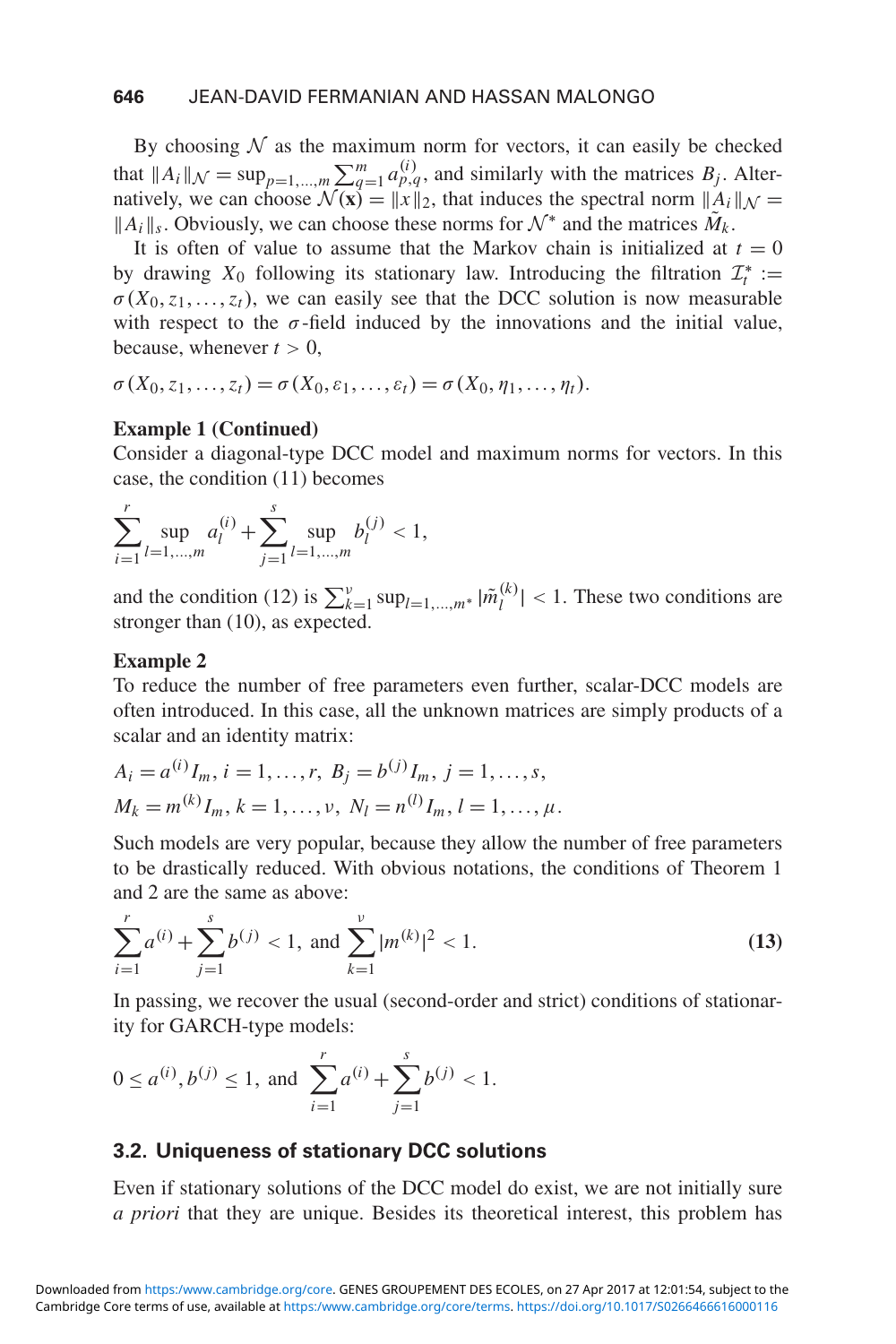By choosing  $N$  as the maximum norm for vectors, it can easily be checked that  $||A_i||_{\mathcal{N}} = \sup_{p=1,\dots,m} \sum_{i,j=1}^m a_{p,q}^{(i)}$ , and similarly with the matrices  $B_j$ . Alternatively, we can choose  $\mathcal{N}(\mathbf{x}) = ||x||_2$ , that induces the spectral norm  $||A_i||_{\mathcal{N}} =$  $||A_i||_s$ . Obviously, we can choose these norms for  $\mathcal{N}^*$  and the matrices  $\tilde{M}_k$ .

It is often of value to assume that the Markov chain is initialized at  $t = 0$ by drawing  $X_0$  following its stationary law. Introducing the filtration  $\mathcal{I}_t^* :=$  $\sigma(X_0, z_1, \ldots, z_t)$ , we can easily see that the DCC solution is now measurable with respect to the  $\sigma$ -field induced by the innovations and the initial value, because, whenever  $t > 0$ ,

 $\sigma(X_0, z_1, \ldots, z_t) = \sigma(X_0, \varepsilon_1, \ldots, \varepsilon_t) = \sigma(X_0, \eta_1, \ldots, \eta_t).$ 

#### **Example 1 (Continued)**

Consider a diagonal-type DCC model and maximum norms for vectors. In this case, the condition (11) becomes

$$
\sum_{i=1}^{r} \sup_{l=1,\dots,m} a_l^{(i)} + \sum_{j=1}^{s} \sup_{l=1,\dots,m} b_l^{(j)} < 1,
$$

and the condition (12) is  $\sum_{k=1}^{v} \sup_{l=1,\dots,m^*} |\tilde{m}_l^{(k)}| < 1$ . These two conditions are stronger than (10), as expected.

#### **Example 2**

To reduce the number of free parameters even further, scalar-DCC models are often introduced. In this case, all the unknown matrices are simply products of a scalar and an identity matrix:

$$
A_i = a^{(i)} I_m, i = 1, ..., r, B_j = b^{(j)} I_m, j = 1, ..., s,
$$
  

$$
M_k = m^{(k)} I_m, k = 1, ..., v, N_l = n^{(l)} I_m, l = 1, ..., \mu.
$$

Such models are very popular, because they allow the number of free parameters to be drastically reduced. With obvious notations, the conditions of Theorem 1 and 2 are the same as above:

$$
\sum_{i=1}^{r} a^{(i)} + \sum_{j=1}^{s} b^{(j)} < 1, \text{ and } \sum_{k=1}^{v} |m^{(k)}|^2 < 1. \tag{13}
$$

In passing, we recover the usual (second-order and strict) conditions of stationarity for GARCH-type models:

$$
0 \le a^{(i)}, b^{(j)} \le 1
$$
, and  $\sum_{i=1}^r a^{(i)} + \sum_{j=1}^s b^{(j)} < 1$ .

#### **3.2. Uniqueness of stationary DCC solutions**

Even if stationary solutions of the DCC model do exist, we are not initially sure *a priori* that they are unique. Besides its theoretical interest, this problem has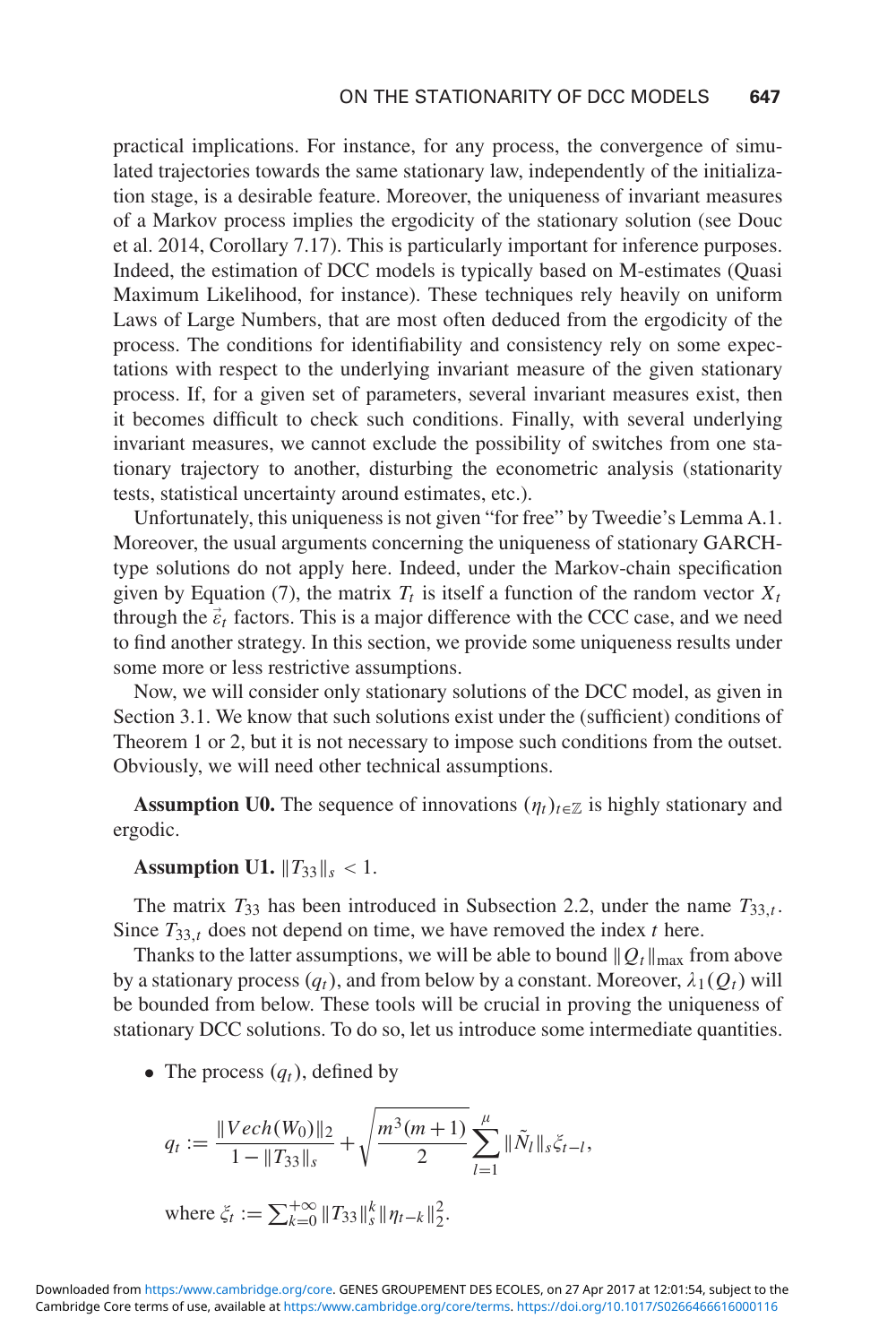practical implications. For instance, for any process, the convergence of simulated trajectories towards the same stationary law, independently of the initialization stage, is a desirable feature. Moreover, the uniqueness of invariant measures of a Markov process implies the ergodicity of the stationary solution (see Douc et al. 2014, Corollary 7.17). This is particularly important for inference purposes. Indeed, the estimation of DCC models is typically based on M-estimates (Quasi Maximum Likelihood, for instance). These techniques rely heavily on uniform Laws of Large Numbers, that are most often deduced from the ergodicity of the process. The conditions for identifiability and consistency rely on some expectations with respect to the underlying invariant measure of the given stationary process. If, for a given set of parameters, several invariant measures exist, then it becomes difficult to check such conditions. Finally, with several underlying invariant measures, we cannot exclude the possibility of switches from one stationary trajectory to another, disturbing the econometric analysis (stationarity tests, statistical uncertainty around estimates, etc.).

Unfortunately, this uniqueness is not given "for free" by Tweedie's Lemma A.1. Moreover, the usual arguments concerning the uniqueness of stationary GARCHtype solutions do not apply here. Indeed, under the Markov-chain specification given by Equation (7), the matrix  $T_t$  is itself a function of the random vector  $X_t$ through the  $\vec{\varepsilon}_t$  factors. This is a major difference with the CCC case, and we need to find another strategy. In this section, we provide some uniqueness results under some more or less restrictive assumptions.

Now, we will consider only stationary solutions of the DCC model, as given in Section 3.1. We know that such solutions exist under the (sufficient) conditions of Theorem 1 or 2, but it is not necessary to impose such conditions from the outset. Obviously, we will need other technical assumptions.

**Assumption U0.** The sequence of innovations  $(\eta_t)_{t \in \mathbb{Z}}$  is highly stationary and ergodic.

**Assumption U1.**  $||T_{33}||_{s} < 1$ .

The matrix  $T_{33}$  has been introduced in Subsection 2.2, under the name  $T_{33,t}$ . Since  $T_{33,t}$  does not depend on time, we have removed the index *t* here.

Thanks to the latter assumptions, we will be able to bound  $\|Q_t\|_{\text{max}}$  from above by a stationary process  $(q_t)$ , and from below by a constant. Moreover,  $\lambda_1(Q_t)$  will be bounded from below. These tools will be crucial in proving the uniqueness of stationary DCC solutions. To do so, let us introduce some intermediate quantities.

• The process  $(q_t)$ , defined by

$$
q_t := \frac{\| Vech(W_0) \|_2}{1 - \|T_{33}\|_s} + \sqrt{\frac{m^3(m+1)}{2}} \sum_{l=1}^{\mu} \| \tilde{N}_l \|_s \xi_{t-l},
$$
  
where  $\xi_t := \sum_{k=0}^{+\infty} \| T_{33} \|_s^k \| \eta_{t-k} \|_2^2.$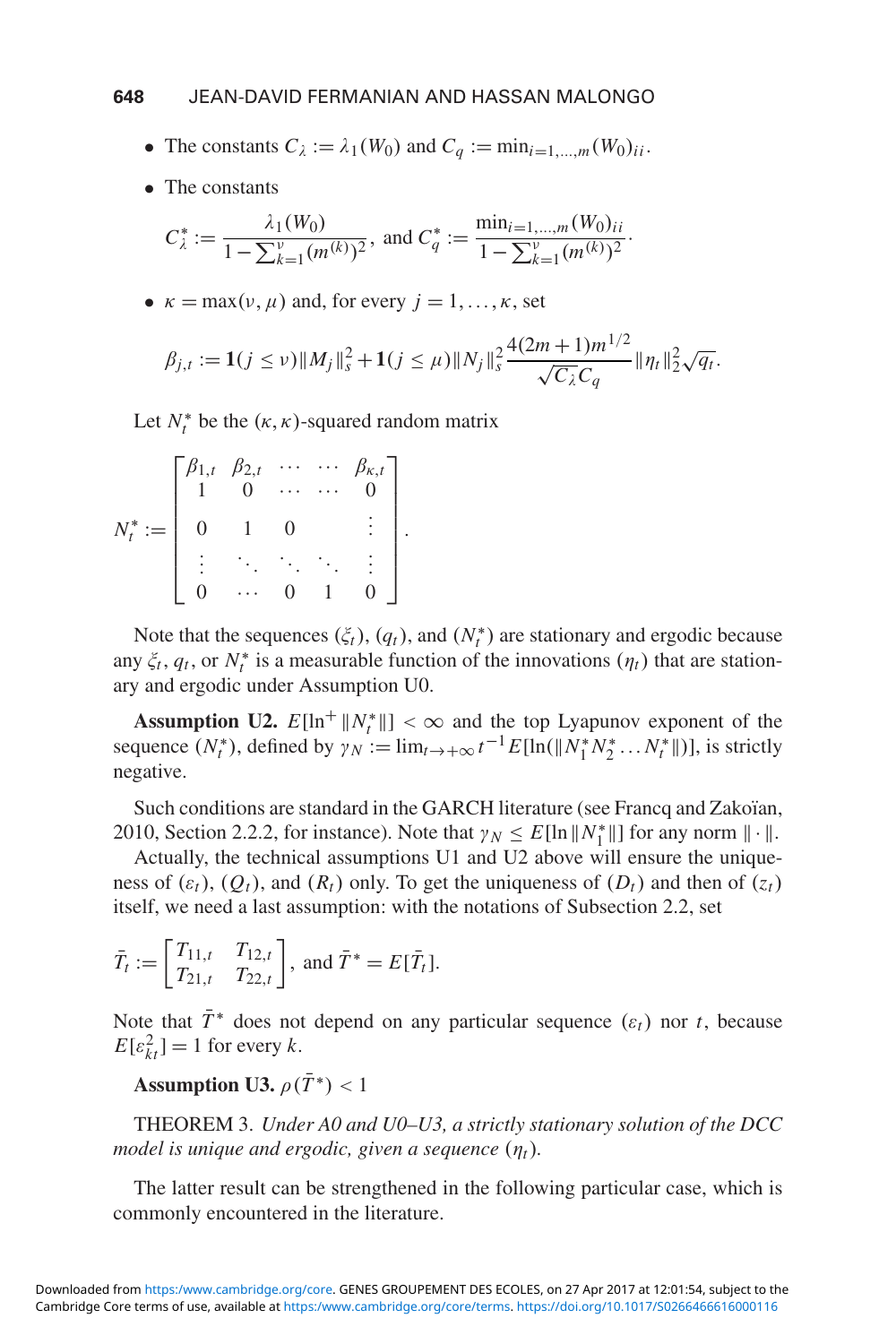#### **648** JEAN-DAVID FERMANIAN AND HASSAN MALONGO

- The constants  $C_\lambda := \lambda_1(W_0)$  and  $C_a := \min_{i=1,\dots,m} (W_0)_{ii}$ .
- The constants

$$
C_{\lambda}^{*} := \frac{\lambda_1(W_0)}{1 - \sum_{k=1}^{\nu} (m^{(k)})^2}, \text{ and } C_q^{*} := \frac{\min_{i=1,\dots,m} (W_0)_{ii}}{1 - \sum_{k=1}^{\nu} (m^{(k)})^2}.
$$

•  $\kappa = \max(v, \mu)$  and, for every  $j = 1, ..., \kappa$ , set

$$
\beta_{j,t} := \mathbf{1}(j \leq \nu) \|M_j\|_{s}^2 + \mathbf{1}(j \leq \mu) \|N_j\|_{s}^2 \frac{4(2m+1)m^{1/2}}{\sqrt{C_{\lambda}}C_q} \|\eta_t\|_{2}^2 \sqrt{q_t}.
$$

Let  $N_t^*$  be the  $(\kappa, \kappa)$ -squared random matrix

|                 | $\begin{matrix} \beta_{1,t} & \beta_{2,t} \\ 0 & \cdots \end{matrix}$ |  | $\beta_{\kappa,t}$ |  |
|-----------------|-----------------------------------------------------------------------|--|--------------------|--|
| $N_t^*$<br>$:=$ | $\overline{0}$                                                        |  |                    |  |
|                 |                                                                       |  |                    |  |
|                 |                                                                       |  |                    |  |

Note that the sequences  $(\xi_t)$ ,  $(q_t)$ , and  $(N_t^*)$  are stationary and ergodic because any  $\xi_t$ ,  $q_t$ , or  $N_t^*$  is a measurable function of the innovations  $(\eta_t)$  that are stationary and ergodic under Assumption U0.

**Assumption U2.**  $E[\ln^+ \| N_t^* \|] < \infty$  and the top Lyapunov exponent of the sequence  $(N_t^*)$ , defined by  $\gamma_N := \lim_{t \to +\infty} t^{-1} E[\ln(\|N_1^* N_2^* \dots N_t^* \|)]$ , is strictly negative.

Such conditions are standard in the GARCH literature (see Francq and Zakoïan, 2010, Section 2.2.2, for instance). Note that  $\gamma_N \le E[\ln \|N_1^*\|]$  for any norm  $\|\cdot\|$ .

Actually, the technical assumptions U1 and U2 above will ensure the uniqueness of  $(\varepsilon_t)$ ,  $(Q_t)$ , and  $(R_t)$  only. To get the uniqueness of  $(D_t)$  and then of  $(z_t)$ itself, we need a last assumption: with the notations of Subsection 2.2, set

$$
\bar{T}_t := \begin{bmatrix} T_{11,t} & T_{12,t} \\ T_{21,t} & T_{22,t} \end{bmatrix}, \text{ and } \bar{T}^* = E[\bar{T}_t].
$$

Note that  $\overline{T}^*$  does not depend on any particular sequence  $(\varepsilon_t)$  nor *t*, because  $E[\varepsilon_{kt}^2] = 1$  for every *k*.

**Assumption U3.**  $\rho(\bar{T}^*)$  < 1

THEOREM 3. *Under A0 and U0–U3, a strictly stationary solution of the DCC model is unique and ergodic, given a sequence* (η*t*)*.*

The latter result can be strengthened in the following particular case, which is commonly encountered in the literature.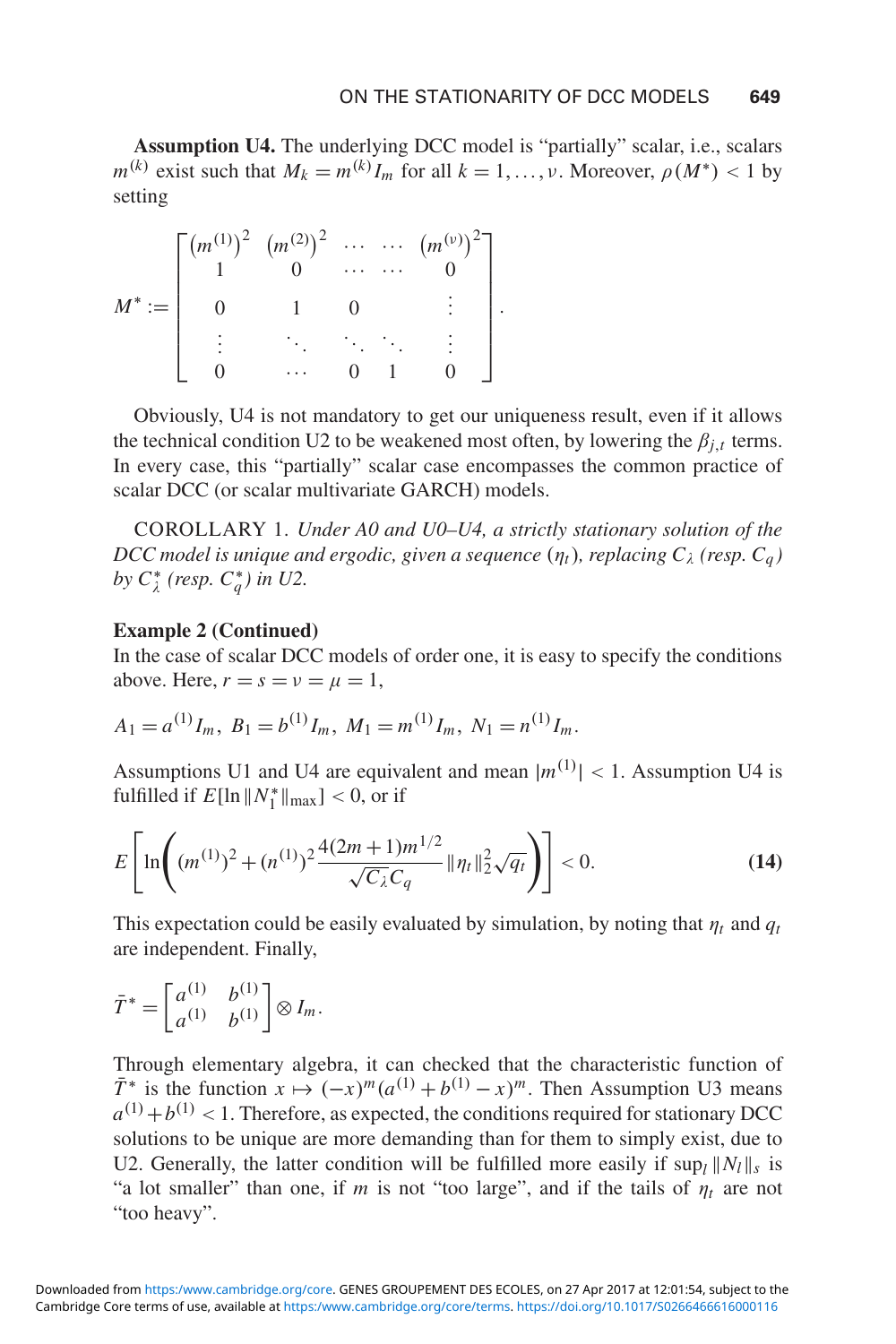**Assumption U4.** The underlying DCC model is "partially" scalar, i.e., scalars *m*<sup>(*k*)</sup> exist such that  $M_k = m^{(k)}I_m$  for all  $k = 1, ..., \nu$ . Moreover,  $\rho(M^*) < 1$  by setting

$$
M^* := \begin{bmatrix} (m^{(1)})^2 & (m^{(2)})^2 & \cdots & (m^{(v)})^2 \\ 1 & 0 & \cdots & \cdots & 0 \\ 0 & 1 & 0 & \vdots \\ \vdots & \ddots & \ddots & \ddots & \vdots \\ 0 & \cdots & 0 & 1 & 0 \end{bmatrix}.
$$

Obviously, U4 is not mandatory to get our uniqueness result, even if it allows the technical condition U2 to be weakened most often, by lowering the  $\beta_{i,t}$  terms. In every case, this "partially" scalar case encompasses the common practice of scalar DCC (or scalar multivariate GARCH) models.

COROLLARY 1. *Under A0 and U0–U4, a strictly stationary solution of the DCC model is unique and ergodic, given a sequence*  $(\eta_t)$ *, replacing*  $C_\lambda$  *(resp.*  $C_q$ *) by*  $C^*_{\lambda}$  (resp.  $C^*_{q}$ ) in U2.

#### **Example 2 (Continued)**

In the case of scalar DCC models of order one, it is easy to specify the conditions above. Here,  $r = s = v = \mu = 1$ ,

$$
A_1 = a^{(1)}I_m, B_1 = b^{(1)}I_m, M_1 = m^{(1)}I_m, N_1 = n^{(1)}I_m.
$$

Assumptions U1 and U4 are equivalent and mean  $|m^{(1)}|$  < 1. Assumption U4 is fulfilled if  $E[\ln \|N_1^*\|_{\max}] < 0$ , or if

$$
E\left[\ln\left((m^{(1)})^2 + (n^{(1)})^2 \frac{4(2m+1)m^{1/2}}{\sqrt{C_\lambda}C_q} \|\eta_t\|_2^2 \sqrt{q_t}\right)\right] < 0. \tag{14}
$$

This expectation could be easily evaluated by simulation, by noting that  $\eta_t$  and  $q_t$ are independent. Finally,

$$
\bar{T}^* = \begin{bmatrix} a^{(1)} & b^{(1)} \\ a^{(1)} & b^{(1)} \end{bmatrix} \otimes I_m.
$$

Through elementary algebra, it can checked that the characteristic function of  $\overline{T}$ <sup>\*</sup> is the function  $x \mapsto (-x)^m (a^{(1)} + b^{(1)} - x)^m$ . Then Assumption U3 means  $a^{(1)} + b^{(1)} < 1$ . Therefore, as expected, the conditions required for stationary DCC solutions to be unique are more demanding than for them to simply exist, due to U2. Generally, the latter condition will be fulfilled more easily if  $\sup_l ||N_l||_s$  is "a lot smaller" than one, if *m* is not "too large", and if the tails of  $\eta_t$  are not "too heavy".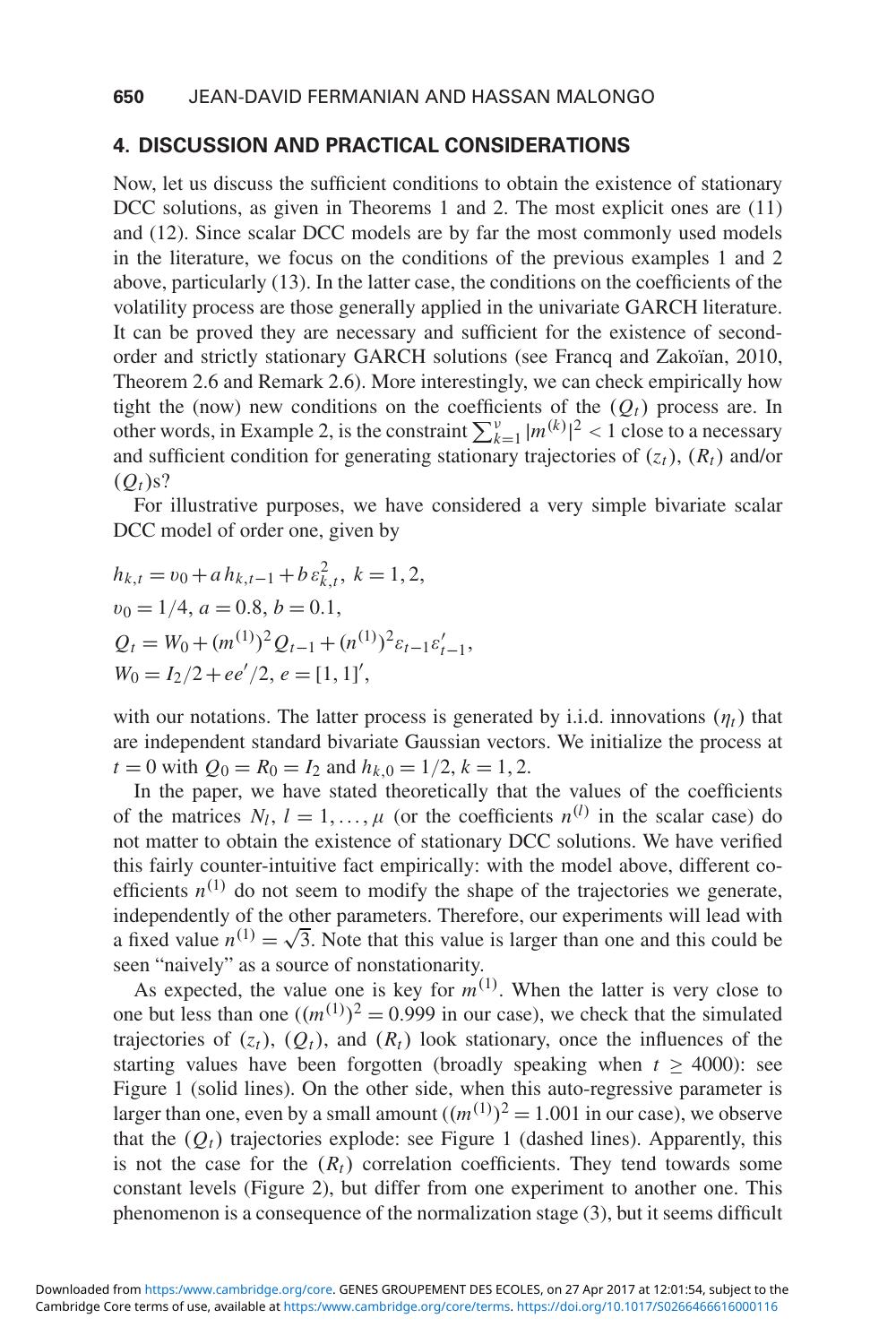#### **4. DISCUSSION AND PRACTICAL CONSIDERATIONS**

Now, let us discuss the sufficient conditions to obtain the existence of stationary DCC solutions, as given in Theorems 1 and 2. The most explicit ones are (11) and (12). Since scalar DCC models are by far the most commonly used models in the literature, we focus on the conditions of the previous examples 1 and 2 above, particularly (13). In the latter case, the conditions on the coefficients of the volatility process are those generally applied in the univariate GARCH literature. It can be proved they are necessary and sufficient for the existence of secondorder and strictly stationary GARCH solutions (see Francq and Zakoïan, 2010, Theorem 2.6 and Remark 2.6). More interestingly, we can check empirically how tight the (now) new conditions on the coefficients of the  $(Q_t)$  process are. In other words, in Example 2, is the constraint  $\sum_{k=1}^{v} |m^{(k)}|^2 < 1$  close to a necessary and sufficient condition for generating stationary trajectories of  $(z_t)$ ,  $(R_t)$  and/or  $(O_t)$ s?

For illustrative purposes, we have considered a very simple bivariate scalar DCC model of order one, given by

$$
h_{k,t} = v_0 + a h_{k,t-1} + b \varepsilon_{k,t}^2, \ k = 1, 2,
$$
  
\n
$$
v_0 = 1/4, \ a = 0.8, \ b = 0.1,
$$
  
\n
$$
Q_t = W_0 + (m^{(1)})^2 Q_{t-1} + (n^{(1)})^2 \varepsilon_{t-1} \varepsilon_{t-1}',
$$
  
\n
$$
W_0 = I_2/2 + e e^{\prime}/2, \ e = [1, 1]^\prime,
$$

with our notations. The latter process is generated by i.i.d. innovations  $(\eta_t)$  that are independent standard bivariate Gaussian vectors. We initialize the process at  $t = 0$  with  $Q_0 = R_0 = I_2$  and  $h_{k,0} = 1/2$ ,  $k = 1, 2$ .

In the paper, we have stated theoretically that the values of the coefficients of the matrices  $N_l$ ,  $l = 1, ..., \mu$  (or the coefficients  $n^{(l)}$  in the scalar case) do not matter to obtain the existence of stationary DCC solutions. We have verified this fairly counter-intuitive fact empirically: with the model above, different coefficients  $n^{(1)}$  do not seem to modify the shape of the trajectories we generate, independently of the other parameters. Therefore, our experiments will lead with a fixed value  $n^{(1)} = \sqrt{3}$ . Note that this value is larger than one and this could be seen "naively" as a source of nonstationarity.

As expected, the value one is key for  $m^{(1)}$ . When the latter is very close to one but less than one  $((m^{(1)})^2 = 0.999$  in our case), we check that the simulated trajectories of  $(z_t)$ ,  $(Q_t)$ , and  $(R_t)$  look stationary, once the influences of the starting values have been forgotten (broadly speaking when  $t \geq 4000$ ): see Figure 1 (solid lines). On the other side, when this auto-regressive parameter is larger than one, even by a small amount  $((m^{(1)})^2 = 1.001$  in our case), we observe that the  $(Q_t)$  trajectories explode: see Figure 1 (dashed lines). Apparently, this is not the case for the  $(R_t)$  correlation coefficients. They tend towards some constant levels (Figure 2), but differ from one experiment to another one. This phenomenon is a consequence of the normalization stage (3), but it seems difficult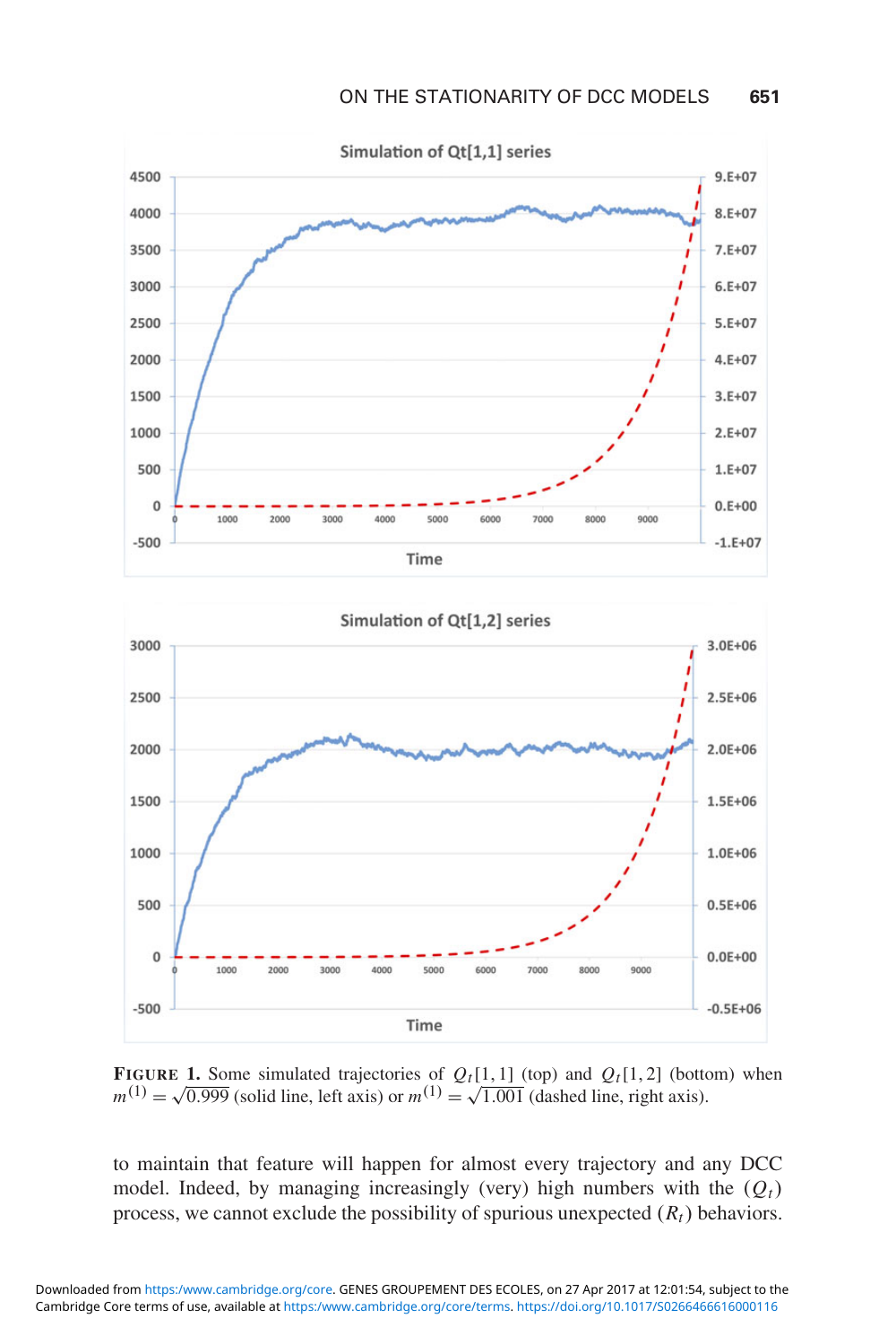



**FIGURE 1.** Some simulated trajectories of  $Q_t[1,1]$  (top) and  $Q_t[1,2]$  (bottom) when  $m^{(1)} = \sqrt{0.999}$  (solid line, left axis) or  $m^{(1)} = \sqrt{1.001}$  (dashed line, right axis).

to maintain that feature will happen for almost every trajectory and any DCC model. Indeed, by managing increasingly (very) high numbers with the  $(Q_t)$ process, we cannot exclude the possibility of spurious unexpected  $(R_t)$  behaviors.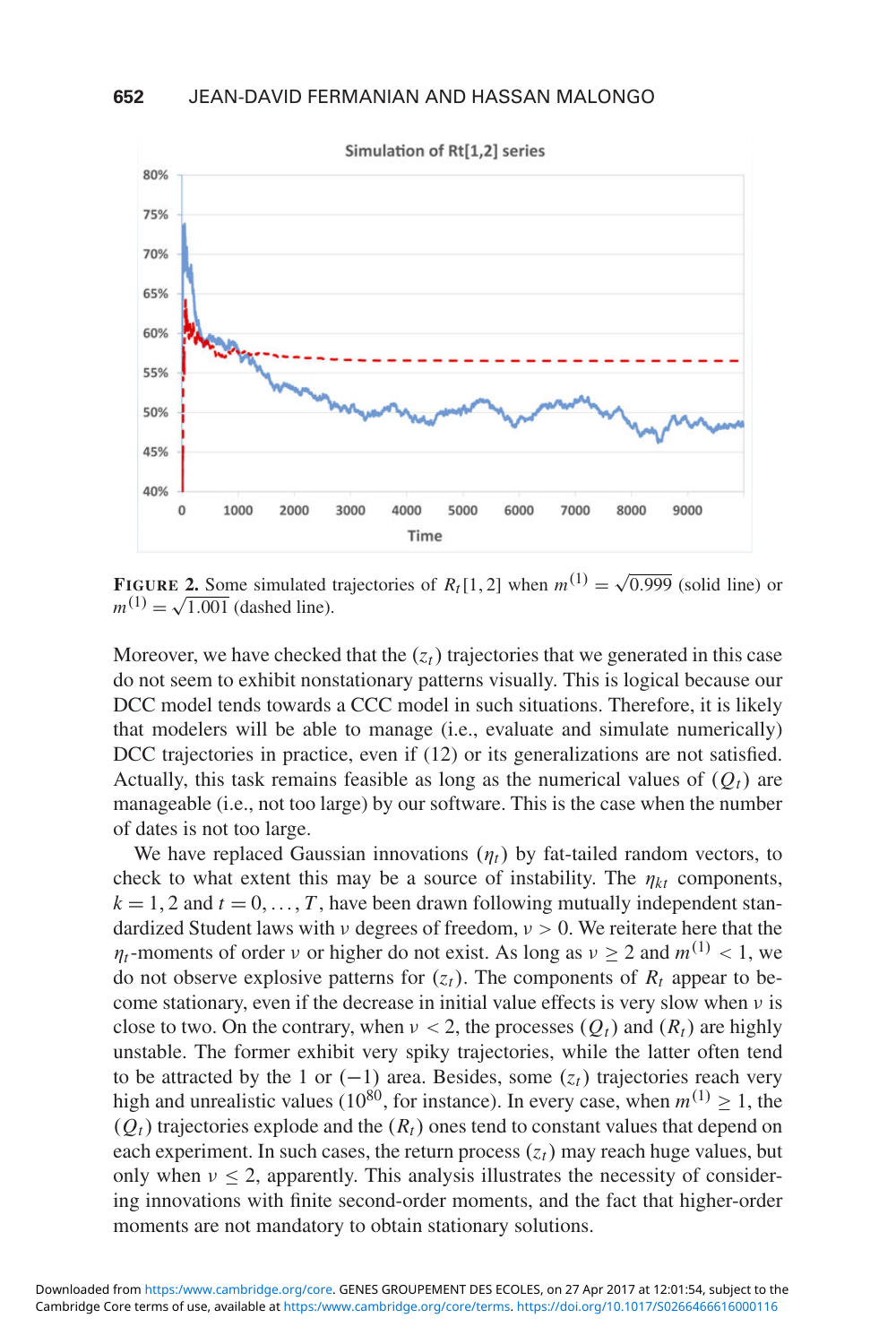

**FIGURE 2.** Some simulated trajectories of  $R_t[1,2]$  when  $m^{(1)} = \sqrt{0.999}$  (solid line) or  $m^{(1)} = \sqrt{1.001}$  (dashed line).

Moreover, we have checked that the  $(z_t)$  trajectories that we generated in this case do not seem to exhibit nonstationary patterns visually. This is logical because our DCC model tends towards a CCC model in such situations. Therefore, it is likely that modelers will be able to manage (i.e., evaluate and simulate numerically) DCC trajectories in practice, even if (12) or its generalizations are not satisfied. Actually, this task remains feasible as long as the numerical values of  $(Q_t)$  are manageable (i.e., not too large) by our software. This is the case when the number of dates is not too large.

We have replaced Gaussian innovations  $(\eta_t)$  by fat-tailed random vectors, to check to what extent this may be a source of instability. The  $\eta_{kt}$  components,  $k = 1, 2$  and  $t = 0, \ldots, T$ , have been drawn following mutually independent standardized Student laws with ν degrees of freedom,  $v > 0$ . We reiterate here that the  $\eta_t$ -moments of order v or higher do not exist. As long as  $v > 2$  and  $m^{(1)} < 1$ , we do not observe explosive patterns for  $(z_t)$ . The components of  $R_t$  appear to become stationary, even if the decrease in initial value effects is very slow when ν is close to two. On the contrary, when  $\nu < 2$ , the processes  $(Q_t)$  and  $(R_t)$  are highly unstable. The former exhibit very spiky trajectories, while the latter often tend to be attracted by the 1 or  $(-1)$  area. Besides, some  $(z_t)$  trajectories reach very high and unrealistic values (10<sup>80</sup>, for instance). In every case, when  $m^{(1)} \ge 1$ , the  $(Q_t)$  trajectories explode and the  $(R_t)$  ones tend to constant values that depend on each experiment. In such cases, the return process  $(z_t)$  may reach huge values, but only when  $\nu < 2$ , apparently. This analysis illustrates the necessity of considering innovations with finite second-order moments, and the fact that higher-order moments are not mandatory to obtain stationary solutions.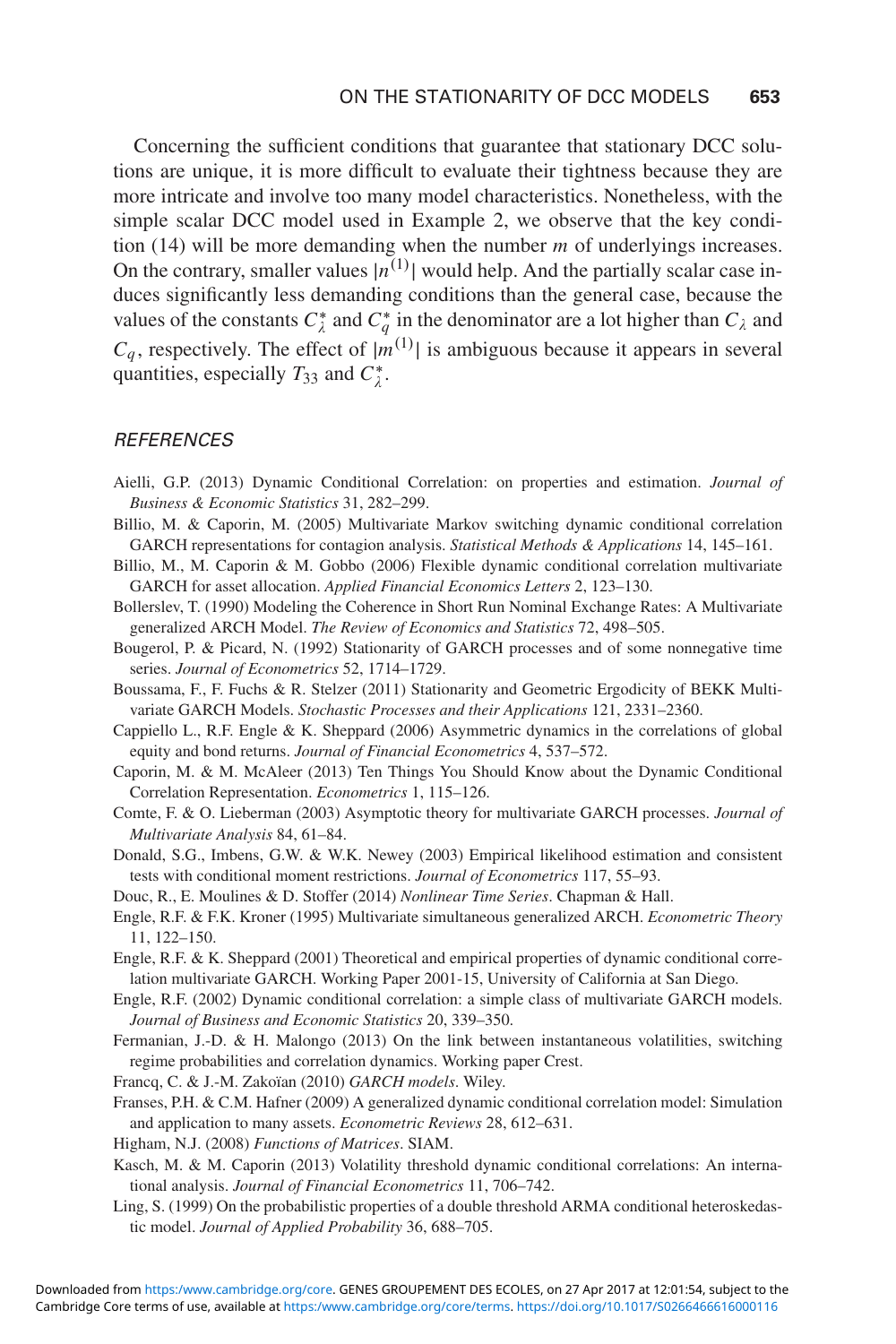Concerning the sufficient conditions that guarantee that stationary DCC solutions are unique, it is more difficult to evaluate their tightness because they are more intricate and involve too many model characteristics. Nonetheless, with the simple scalar DCC model used in Example 2, we observe that the key condition (14) will be more demanding when the number *m* of underlyings increases. On the contrary, smaller values  $|n^{(1)}|$  would help. And the partially scalar case induces significantly less demanding conditions than the general case, because the values of the constants  $C^*_{\lambda}$  and  $C^*_{q}$  in the denominator are a lot higher than  $C_{\lambda}$  and  $C_q$ , respectively. The effect of  $|m^{(1)}|$  is ambiguous because it appears in several quantities, especially  $T_{33}$  and  $C_{\lambda}^*$ .

#### **REFERENCES**

- Aielli, G.P. (2013) Dynamic Conditional Correlation: on properties and estimation. *Journal of Business & Economic Statistics* 31, 282–299.
- Billio, M. & Caporin, M. (2005) Multivariate Markov switching dynamic conditional correlation GARCH representations for contagion analysis. *Statistical Methods & Applications* 14, 145–161.
- Billio, M., M. Caporin & M. Gobbo (2006) Flexible dynamic conditional correlation multivariate GARCH for asset allocation. *Applied Financial Economics Letters* 2, 123–130.
- Bollerslev, T. (1990) Modeling the Coherence in Short Run Nominal Exchange Rates: A Multivariate generalized ARCH Model. *The Review of Economics and Statistics* 72, 498–505.
- Bougerol, P. & Picard, N. (1992) Stationarity of GARCH processes and of some nonnegative time series. *Journal of Econometrics* 52, 1714–1729.
- Boussama, F., F. Fuchs & R. Stelzer (2011) Stationarity and Geometric Ergodicity of BEKK Multivariate GARCH Models. *Stochastic Processes and their Applications* 121, 2331–2360.
- Cappiello L., R.F. Engle & K. Sheppard (2006) Asymmetric dynamics in the correlations of global equity and bond returns. *Journal of Financial Econometrics* 4, 537–572.
- Caporin, M. & M. McAleer (2013) Ten Things You Should Know about the Dynamic Conditional Correlation Representation. *Econometrics* 1, 115–126.
- Comte, F. & O. Lieberman (2003) Asymptotic theory for multivariate GARCH processes. *Journal of Multivariate Analysis* 84, 61–84.
- Donald, S.G., Imbens, G.W. & W.K. Newey (2003) Empirical likelihood estimation and consistent tests with conditional moment restrictions. *Journal of Econometrics* 117, 55–93.
- Douc, R., E. Moulines & D. Stoffer (2014) *Nonlinear Time Series*. Chapman & Hall.
- Engle, R.F. & F.K. Kroner (1995) Multivariate simultaneous generalized ARCH. *Econometric Theory* 11, 122–150.
- Engle, R.F. & K. Sheppard (2001) Theoretical and empirical properties of dynamic conditional correlation multivariate GARCH. Working Paper 2001-15, University of California at San Diego.
- Engle, R.F. (2002) Dynamic conditional correlation: a simple class of multivariate GARCH models. *Journal of Business and Economic Statistics* 20, 339–350.
- Fermanian, J.-D. & H. Malongo (2013) On the link between instantaneous volatilities, switching regime probabilities and correlation dynamics. Working paper Crest.
- Francq, C. & J.-M. Zakoïan (2010) *GARCH models*. Wiley.
- Franses, P.H. & C.M. Hafner (2009) A generalized dynamic conditional correlation model: Simulation and application to many assets. *Econometric Reviews* 28, 612–631.
- Higham, N.J. (2008) *Functions of Matrices*. SIAM.
- Kasch, M. & M. Caporin (2013) Volatility threshold dynamic conditional correlations: An international analysis. *Journal of Financial Econometrics* 11, 706–742.
- Ling, S. (1999) On the probabilistic properties of a double threshold ARMA conditional heteroskedastic model. *Journal of Applied Probability* 36, 688–705.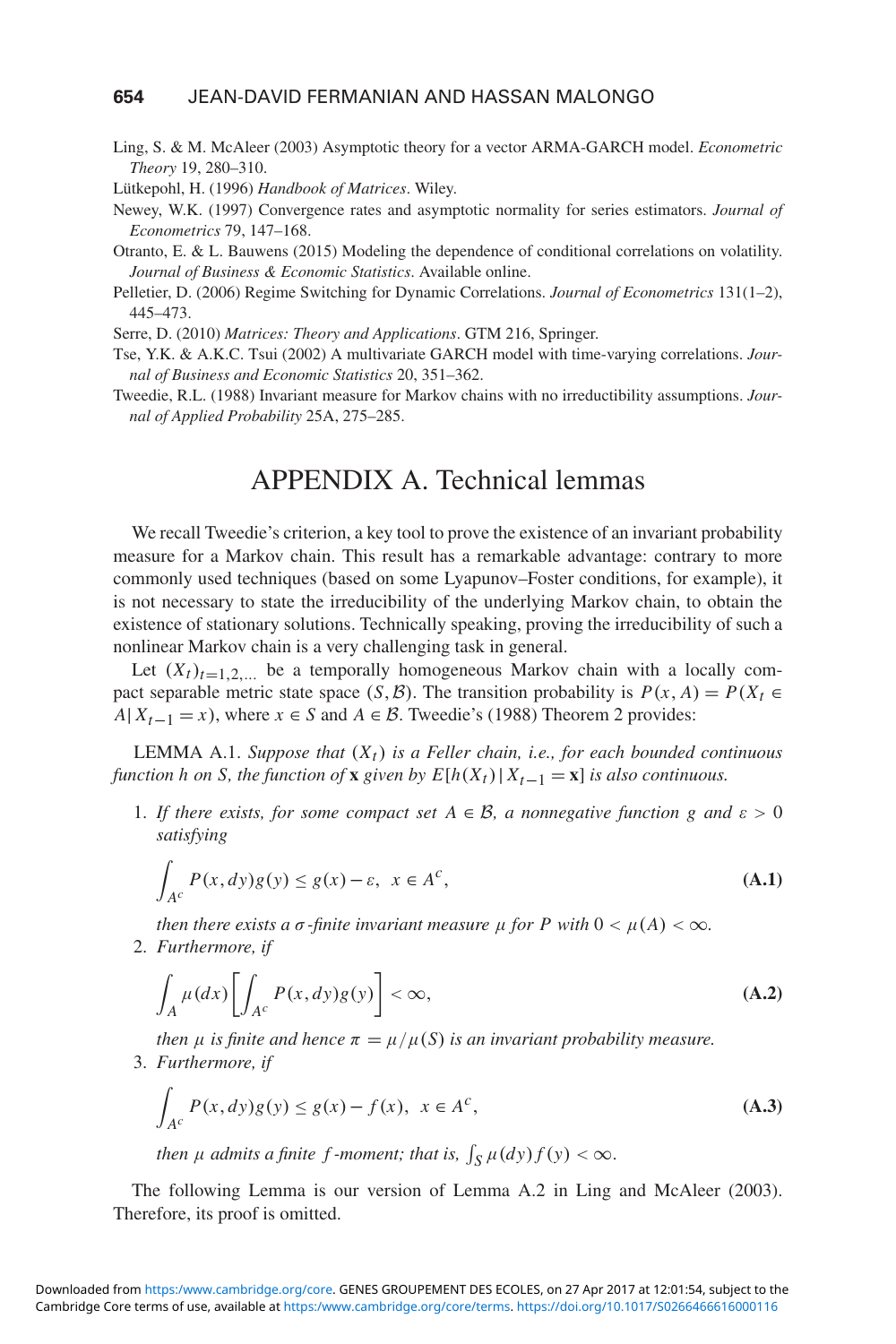#### **654** JEAN-DAVID FERMANIAN AND HASSAN MALONGO

Ling, S. & M. McAleer (2003) Asymptotic theory for a vector ARMA-GARCH model. *Econometric Theory* 19, 280–310.

Lütkepohl, H. (1996) Handbook of Matrices. Wiley.

- Newey, W.K. (1997) Convergence rates and asymptotic normality for series estimators. *Journal of Econometrics* 79, 147–168.
- Otranto, E. & L. Bauwens (2015) Modeling the dependence of conditional correlations on volatility. *Journal of Business & Economic Statistics*. Available online.
- Pelletier, D. (2006) Regime Switching for Dynamic Correlations. *Journal of Econometrics* 131(1–2), 445–473.

Serre, D. (2010) *Matrices: Theory and Applications*. GTM 216, Springer.

- Tse, Y.K. & A.K.C. Tsui (2002) A multivariate GARCH model with time-varying correlations. *Journal of Business and Economic Statistics* 20, 351–362.
- Tweedie, R.L. (1988) Invariant measure for Markov chains with no irreductibility assumptions. *Journal of Applied Probability* 25A, 275–285.

# APPENDIX A. Technical lemmas

We recall Tweedie's criterion, a key tool to prove the existence of an invariant probability measure for a Markov chain. This result has a remarkable advantage: contrary to more commonly used techniques (based on some Lyapunov–Foster conditions, for example), it is not necessary to state the irreducibility of the underlying Markov chain, to obtain the existence of stationary solutions. Technically speaking, proving the irreducibility of such a nonlinear Markov chain is a very challenging task in general.

Let  $(X_t)_{t=1,2,...}$  be a temporally homogeneous Markov chain with a locally compact separable metric state space  $(S, \mathcal{B})$ . The transition probability is  $P(x, A) = P(X_t \in$ *A*|  $X_{t-1} = x$ ), where  $x \in S$  and  $A \in \mathcal{B}$ . Tweedie's (1988) Theorem 2 provides:

LEMMA A.1. *Suppose that*  $(X_t)$  *is a Feller chain, i.e., for each bounded continuous function h on S, the function of* **x** *given by*  $E[h(X_t) | X_{t-1} = \mathbf{x}]$  *is also continuous.* 

1. If there exists, for some compact set  $A \in \mathcal{B}$ , a nonnegative function g and  $\varepsilon > 0$ *satisfying*

$$
\int_{A^c} P(x, dy)g(y) \le g(x) - \varepsilon, \ \ x \in A^c,
$$
\n(A.1)

*then there exists a*  $\sigma$ *-finite invariant measure*  $\mu$  *for*  $P$  *with*  $0 < \mu(A) < \infty$ *.* 2. *Furthermore, if*

$$
\int_{A} \mu(dx) \left[ \int_{A^c} P(x, dy) g(y) \right] < \infty,
$$
\n(A.2)

*then*  $\mu$  *is finite and hence*  $\pi = \mu / \mu(S)$  *is an invariant probability measure.* 3. *Furthermore, if*

$$
\int_{A^c} P(x, dy)g(y) \le g(x) - f(x), \quad x \in A^c,
$$
\n(A.3)

*then*  $\mu$  *admits a finite f*-moment; that is,  $\int_{S} \mu(dy) f(y) < \infty$ .

The following Lemma is our version of Lemma A.2 in Ling and McAleer (2003). Therefore, its proof is omitted.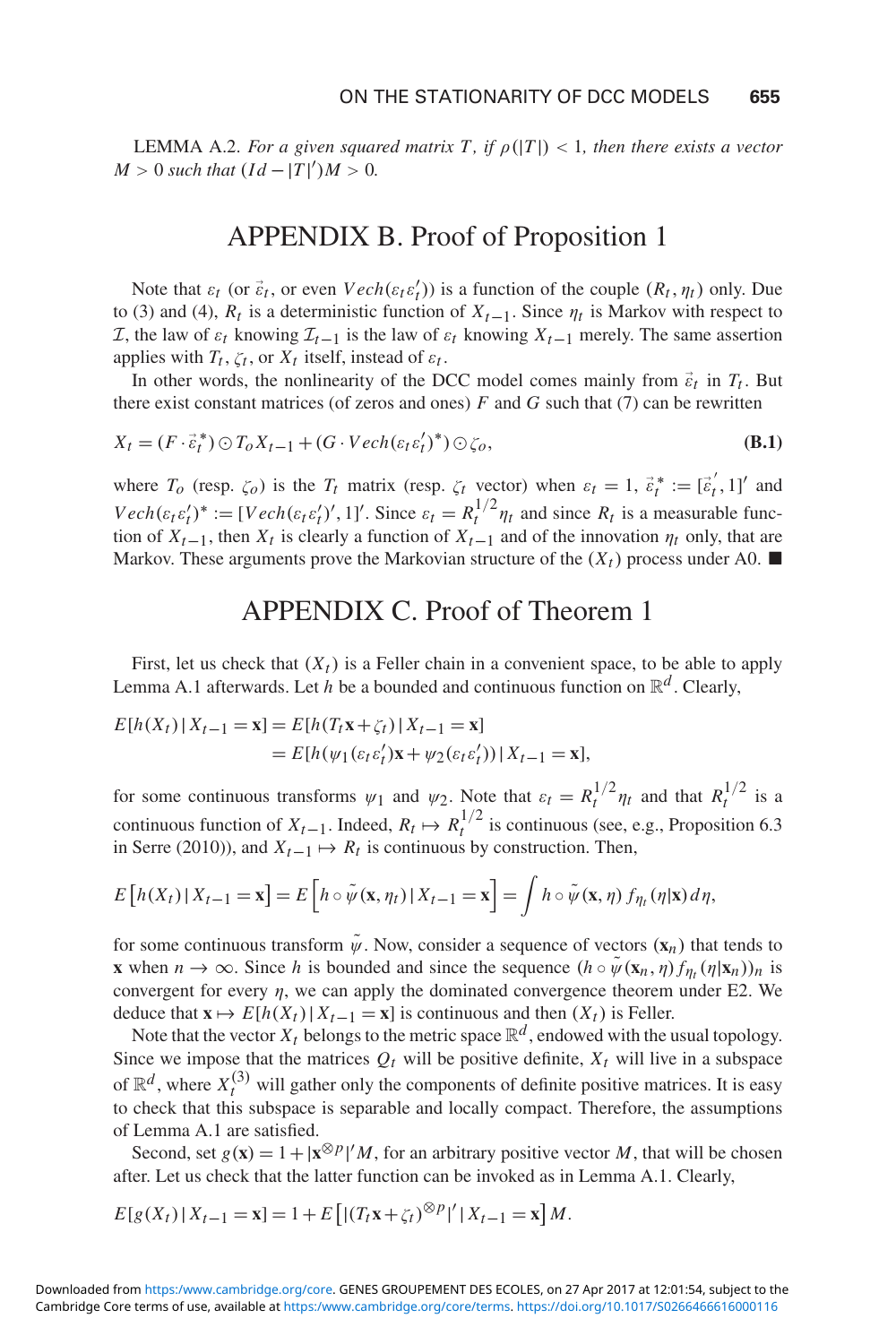**LEMMA** A.2. *For a given squared matrix T, if*  $\rho(|T|) < 1$ *, then there exists a vector*  $M > 0$  *such that*  $(Id - |T|')M > 0$ *.* 

## APPENDIX B. Proof of Proposition 1

Note that  $\varepsilon_t$  (or  $\vec{\varepsilon}_t$ , or even  $Vech(\varepsilon_t \varepsilon'_t)$ ) is a function of the couple  $(R_t, \eta_t)$  only. Due to (3) and (4),  $R_t$  is a deterministic function of  $X_{t-1}$ . Since  $\eta_t$  is Markov with respect to I, the law of ε*<sup>t</sup>* knowing I*t*−<sup>1</sup> is the law of ε*<sup>t</sup>* knowing *Xt*−<sup>1</sup> merely. The same assertion applies with  $T_t$ ,  $\zeta_t$ , or  $X_t$  itself, instead of  $\varepsilon_t$ .

In other words, the nonlinearity of the DCC model comes mainly from  $\vec{\epsilon}_t$  in  $T_t$ . But there exist constant matrices (of zeros and ones)  $F$  and  $G$  such that (7) can be rewritten

$$
X_t = (F \cdot \vec{\varepsilon}_t^*) \odot T_o X_{t-1} + (G \cdot Vech(\varepsilon_t \varepsilon_t')^*) \odot \zeta_o,
$$
 (B.1)

where  $T_o$  (resp.  $\zeta_o$ ) is the  $T_t$  matrix (resp.  $\zeta_t$  vector) when  $\varepsilon_t = 1$ ,  $\vec{\varepsilon}_t^* := [\vec{\varepsilon}_t', 1]'$  and  $Vech(\varepsilon_t \varepsilon_t')^* := [Vech(\varepsilon_t \varepsilon_t')', 1]'$ . Since  $\varepsilon_t = R_t^{1/2} \eta_t$  and since  $R_t$  is a measurable function of  $X_{t-1}$ , then  $X_t$  is clearly a function of  $X_{t-1}$  and of the innovation  $\eta_t$  only, that are Markov. These arguments prove the Markovian structure of the  $(X_t)$  process under A0.

## APPENDIX C. Proof of Theorem 1

First, let us check that  $(X_t)$  is a Feller chain in a convenient space, to be able to apply Lemma A.1 afterwards. Let *h* be a bounded and continuous function on  $\mathbb{R}^d$ . Clearly,

$$
E[h(X_t) | X_{t-1} = \mathbf{x}] = E[h(T_t \mathbf{x} + \zeta_t) | X_{t-1} = \mathbf{x}]
$$
  
= 
$$
E[h(\psi_1(\varepsilon_t \varepsilon'_t)\mathbf{x} + \psi_2(\varepsilon_t \varepsilon'_t)) | X_{t-1} = \mathbf{x}],
$$

for some continuous transforms  $\psi_1$  and  $\psi_2$ . Note that  $\varepsilon_t = R_t^{1/2} \eta_t$  and that  $R_t^{1/2}$  is a continuous function of  $X_{t-1}$ . Indeed,  $R_t \mapsto R_t^{1/2}$  is continuous (see, e.g., Proposition 6.3 in Serre (2010)), and  $X_{t-1} \mapsto R_t$  is continuous by construction. Then,

$$
E\left[h(X_t) \,|\, X_{t-1} = \mathbf{x}\right] = E\left[h \circ \tilde{\psi}(\mathbf{x}, \eta_t) \,|\, X_{t-1} = \mathbf{x}\right] = \int h \circ \tilde{\psi}(\mathbf{x}, \eta) \, f_{\eta_t}(\eta | \mathbf{x}) \, d\eta,
$$

for some continuous transform  $\tilde{\psi}$ . Now, consider a sequence of vectors  $(\mathbf{x}_n)$  that tends to **x** when  $n \to \infty$ . Since *h* is bounded and since the sequence  $(h \circ \psi(\mathbf{x}_n, \eta) f_{\eta_t}(\eta | \mathbf{x}_n))_n$  is convergent for every  $\eta$ , we can apply the dominated convergence theorem under E2. We deduce that  $\mathbf{x} \mapsto E[h(X_t) | X_{t-1} = \mathbf{x}]$  is continuous and then  $(X_t)$  is Feller.

Note that the vector  $X_t$  belongs to the metric space  $\mathbb{R}^d$ , endowed with the usual topology. Since we impose that the matrices  $Q_t$  will be positive definite,  $X_t$  will live in a subspace of  $\mathbb{R}^d$ , where  $X_t^{(3)}$  will gather only the components of definite positive matrices. It is easy to check that this subspace is separable and locally compact. Therefore, the assumptions of Lemma A.1 are satisfied.

Second, set  $g(\mathbf{x}) = 1 + |\mathbf{x}^{\otimes p}|^t M$ , for an arbitrary positive vector *M*, that will be chosen after. Let us check that the latter function can be invoked as in Lemma A.1. Clearly,

$$
E[g(X_t) | X_{t-1} = \mathbf{x}] = 1 + E\left[|(T_t \mathbf{x} + \zeta_t)^{\otimes p}|' | X_{t-1} = \mathbf{x}\right]M.
$$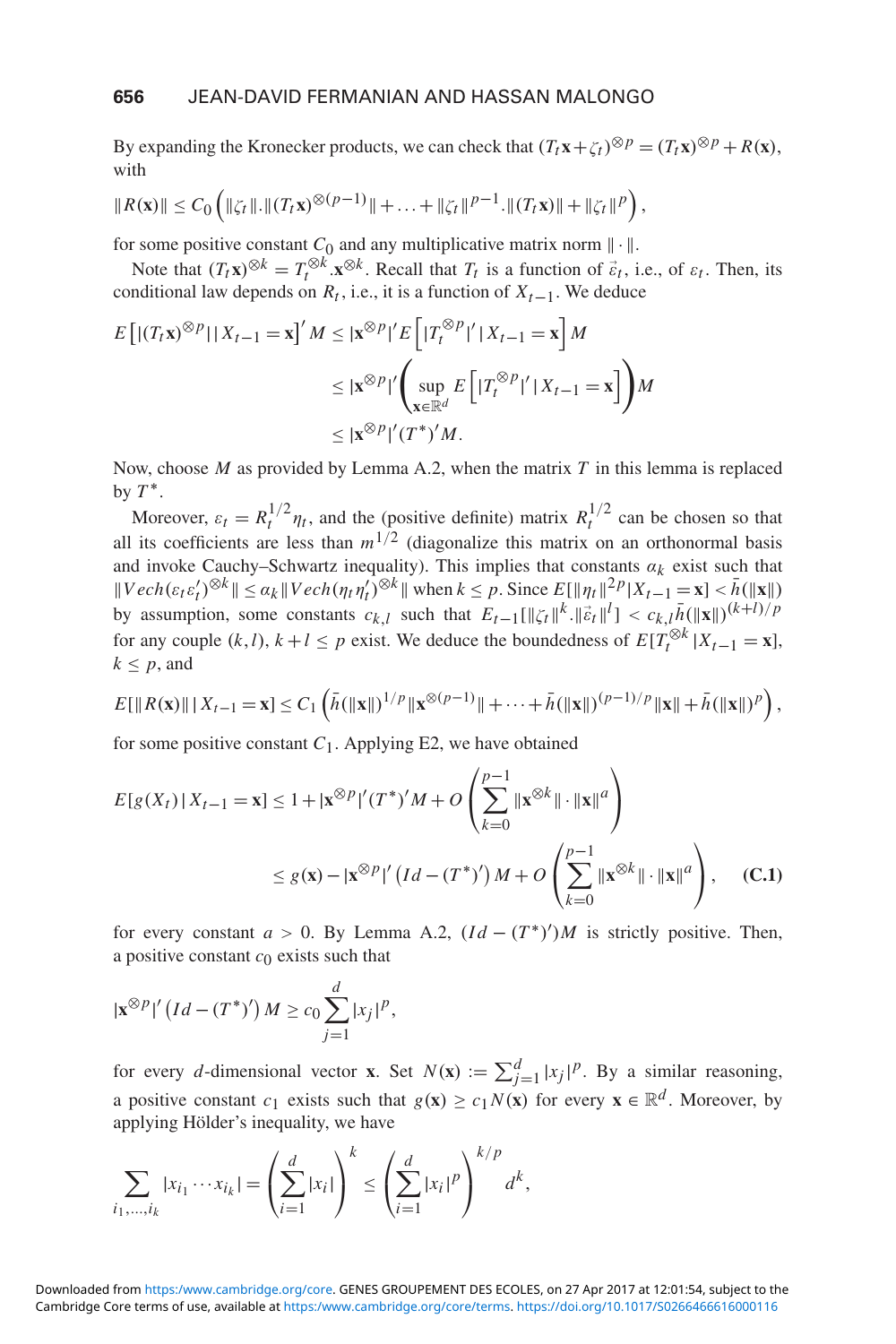By expanding the Kronecker products, we can check that  $(T_t \mathbf{x} + \zeta_t)^{\otimes p} = (T_t \mathbf{x})^{\otimes p} + R(\mathbf{x})$ , with

$$
||R(\mathbf{x})|| \leq C_0 \left( ||\zeta_t|| \cdot ||(T_t \mathbf{x})^{\otimes (p-1)}|| + \ldots + ||\zeta_t||^{p-1} \cdot ||(T_t \mathbf{x})|| + ||\zeta_t||^p \right),
$$

for some positive constant  $C_0$  and any multiplicative matrix norm  $\|\cdot\|$ .

Note that  $(T_t \mathbf{x})^{\otimes k} = T_t^{\otimes k} \cdot \mathbf{x}^{\otimes k}$ . Recall that  $T_t$  is a function of  $\vec{\varepsilon}_t$ , i.e., of  $\varepsilon_t$ . Then, its conditional law depends on  $R_t$ , i.e., it is a function of  $X_{t-1}$ . We deduce

$$
E\left[|(T_t\mathbf{x})^{\otimes p}||X_{t-1}=\mathbf{x}\right]'M \leq |\mathbf{x}^{\otimes p}|^{\prime}E\left[|T_t^{\otimes p}|^{\prime}||X_{t-1}=\mathbf{x}\right]M
$$
  

$$
\leq |\mathbf{x}^{\otimes p}|^{\prime}\left(\sup_{\mathbf{x}\in\mathbb{R}^d}E\left[|T_t^{\otimes p}|^{\prime}||X_{t-1}=\mathbf{x}\right]\right)M
$$
  

$$
\leq |\mathbf{x}^{\otimes p}|^{\prime}(T^*)^{\prime}M.
$$

Now, choose *M* as provided by Lemma A.2, when the matrix *T* in this lemma is replaced by  $T^*$ .

Moreover,  $\varepsilon_t = R_t^{1/2} \eta_t$ , and the (positive definite) matrix  $R_t^{1/2}$  can be chosen so that all its coefficients are less than  $m^{1/2}$  (diagonalize this matrix on an orthonormal basis and invoke Cauchy–Schwartz inequality). This implies that constants  $\alpha_k$  exist such that  $\|Vec{Vec{te}_t} \right\|^{\otimes k} \leq \alpha_k \|\nvee \operatorname{ech}(\eta_t \eta_t')^{\otimes k} \|\n\text{ when } k \leq p.$  Since  $E[\|\eta_t\|^{2p}|X_{t-1} = \mathbf{x}] \leq \bar{h}(\|\mathbf{x}\|)$ by assumption, some constants  $c_{k,l}$  such that  $E_{t-1}[\|\zeta_t\|^k\cdot\|\vec{\varepsilon}_t\|^l] < c_{k,l}\bar{h}(\|\mathbf{x}\|)^{(k+l)/p}$ for any couple  $(k, l)$ ,  $k + l \leq p$  exist. We deduce the boundedness of  $E[T_t^{\otimes k} | X_{t-1} = \mathbf{x}]$ ,  $k \leq p$ , and

$$
E[\|R(\mathbf{x})\| \,|\, X_{t-1}=\mathbf{x}] \leq C_1 \left( \bar{h}(\|\mathbf{x}\|)^{1/p} \, \|\mathbf{x}^{\otimes (p-1)}\| + \cdots + \bar{h}(\|\mathbf{x}\|)^{(p-1)/p} \, \|\mathbf{x}\| + \bar{h}(\|\mathbf{x}\|)^p \right),
$$

for some positive constant  $C_1$ . Applying E2, we have obtained

$$
E[g(X_t) | X_{t-1} = \mathbf{x}] \le 1 + |\mathbf{x}^{\otimes p}|'(T^*)'M + O\left(\sum_{k=0}^{p-1} ||\mathbf{x}^{\otimes k}|| \cdot ||\mathbf{x}||^a\right)
$$
  

$$
\le g(\mathbf{x}) - |\mathbf{x}^{\otimes p}|'(Id - (T^*)')M + O\left(\sum_{k=0}^{p-1} ||\mathbf{x}^{\otimes k}|| \cdot ||\mathbf{x}||^a\right), \quad (C.1)
$$

for every constant  $a > 0$ . By Lemma A.2,  $(Id - (T^*)')M$  is strictly positive. Then, a positive constant  $c_0$  exists such that

$$
|\mathbf{x}^{\otimes p}|'\left(\operatorname{Id}-(T^*)'\right)M\geq c_0\sum_{j=1}^d|x_j|^p,
$$

for every *d*-dimensional vector **x**. Set  $N(\mathbf{x}) := \sum_{j=1}^{d} |x_j|^p$ . By a similar reasoning, a positive constant  $c_1$  exists such that  $g(\mathbf{x}) > c_1 N(\mathbf{x})$  for every  $\mathbf{x} \in \mathbb{R}^d$ . Moreover, by applying Hölder's inequality, we have

$$
\sum_{i_1,\dots,i_k} |x_{i_1}\cdots x_{i_k}| = \left(\sum_{i=1}^d |x_i|\right)^k \le \left(\sum_{i=1}^d |x_i|^p\right)^{k/p} d^k,
$$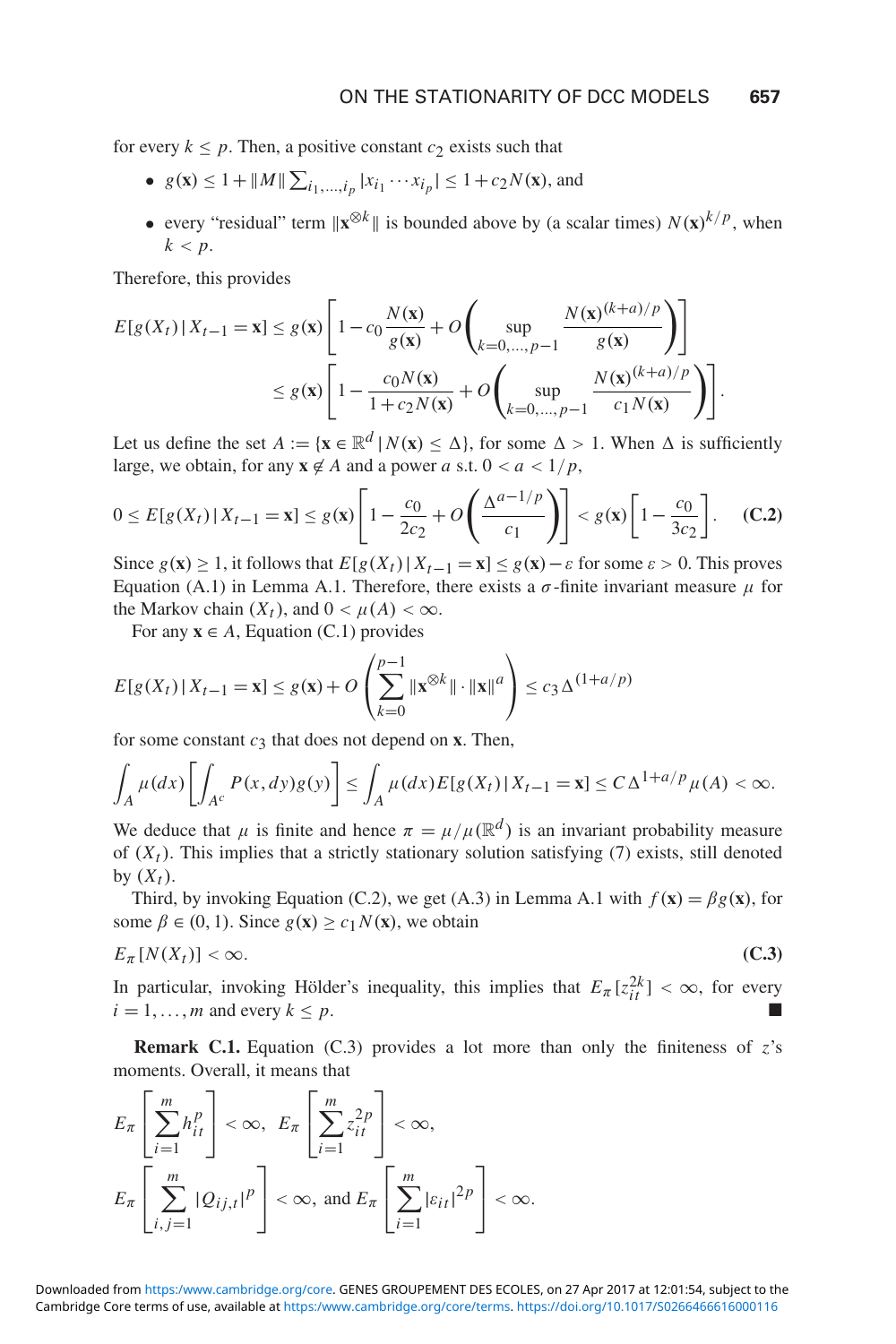for every  $k \leq p$ . Then, a positive constant  $c_2$  exists such that

- $g(\mathbf{x}) \le 1 + ||M|| \sum_{i_1, ..., i_p} |x_{i_1} \cdots x_{i_p}| \le 1 + c_2 N(\mathbf{x})$ , and
- every "residual" term  $\|\mathbf{x}^{\otimes k}\|$  is bounded above by (a scalar times)  $N(\mathbf{x})^{k/p}$ , when  $k < p$ .

Therefore, this provides

$$
E[g(X_t) | X_{t-1} = \mathbf{x}] \le g(\mathbf{x}) \left[ 1 - c_0 \frac{N(\mathbf{x})}{g(\mathbf{x})} + O\left(\sup_{k=0,\dots,p-1} \frac{N(\mathbf{x})^{(k+a)/p}}{g(\mathbf{x})}\right) \right] \le g(\mathbf{x}) \left[ 1 - \frac{c_0 N(\mathbf{x})}{1 + c_2 N(\mathbf{x})} + O\left(\sup_{k=0,\dots,p-1} \frac{N(\mathbf{x})^{(k+a)/p}}{c_1 N(\mathbf{x})}\right) \right].
$$

Let us define the set  $A := \{x \in \mathbb{R}^d \mid N(x) \leq \Delta\}$ , for some  $\Delta > 1$ . When  $\Delta$  is sufficiently large, we obtain, for any  $\mathbf{x} \notin A$  and a power *a* s.t.  $0 < a < 1/p$ ,

$$
0 \le E[g(X_t) | X_{t-1} = \mathbf{x}] \le g(\mathbf{x}) \left[ 1 - \frac{c_0}{2c_2} + O\left(\frac{\Delta^{a-1/p}}{c_1}\right) \right] < g(\mathbf{x}) \left[ 1 - \frac{c_0}{3c_2} \right]. \tag{C.2}
$$

Since  $g(\mathbf{x}) \geq 1$ , it follows that  $E[g(X_t) | X_{t-1} = \mathbf{x}] \leq g(\mathbf{x}) - \varepsilon$  for some  $\varepsilon > 0$ . This proves Equation (A.1) in Lemma A.1. Therefore, there exists a  $\sigma$ -finite invariant measure  $\mu$  for the Markov chain  $(X_t)$ , and  $0 < \mu(A) < \infty$ .

For any  $x \in A$ , Equation (C.1) provides

$$
E[g(X_t) | X_{t-1} = \mathbf{x}] \le g(\mathbf{x}) + O\left(\sum_{k=0}^{p-1} \|\mathbf{x}^{\otimes k}\| \cdot \|\mathbf{x}\|^d\right) \le c_3 \Delta^{(1+a/p)}
$$

for some constant  $c_3$  that does not depend on **x**. Then,

$$
\int_A \mu(dx) \left[ \int_{A^c} P(x, dy) g(y) \right] \leq \int_A \mu(dx) E[g(X_t) | X_{t-1} = \mathbf{x}] \leq C \Delta^{1+a/p} \mu(A) < \infty.
$$

We deduce that  $\mu$  is finite and hence  $\pi = \mu / \mu(\mathbb{R}^d)$  is an invariant probability measure of  $(X_t)$ . This implies that a strictly stationary solution satisfying  $(7)$  exists, still denoted by  $(X_t)$ .

Third, by invoking Equation (C.2), we get (A.3) in Lemma A.1 with  $f(\mathbf{x}) = \beta g(\mathbf{x})$ , for some  $\beta \in (0, 1)$ . Since  $g(\mathbf{x}) \ge c_1 N(\mathbf{x})$ , we obtain

$$
E_{\pi}[N(X_t)] < \infty. \tag{C.3}
$$

In particular, invoking Hölder's inequality, this implies that  $E_{\pi} [z_{it}^{2k}] < \infty$ , for every  $i = 1, \ldots, m$  and every  $k \leq p$ .

**Remark C.1.** Equation (C.3) provides a lot more than only the finiteness of *z*'s moments. Overall, it means that

$$
E_{\pi}\left[\sum_{i=1}^{m} h_{it}^{p}\right] < \infty, \ E_{\pi}\left[\sum_{i=1}^{m} z_{it}^{2p}\right] < \infty, \\
E_{\pi}\left[\sum_{i,j=1}^{m} |Q_{ij,t}|^{p}\right] < \infty, \text{ and } E_{\pi}\left[\sum_{i=1}^{m} |z_{it}|^{2p}\right] < \infty.
$$

Cambridge Core terms of use, available at <https:/www.cambridge.org/core/terms>.<https://doi.org/10.1017/S0266466616000116> Downloaded from <https:/www.cambridge.org/core>. GENES GROUPEMENT DES ECOLES, on 27 Apr 2017 at 12:01:54, subject to the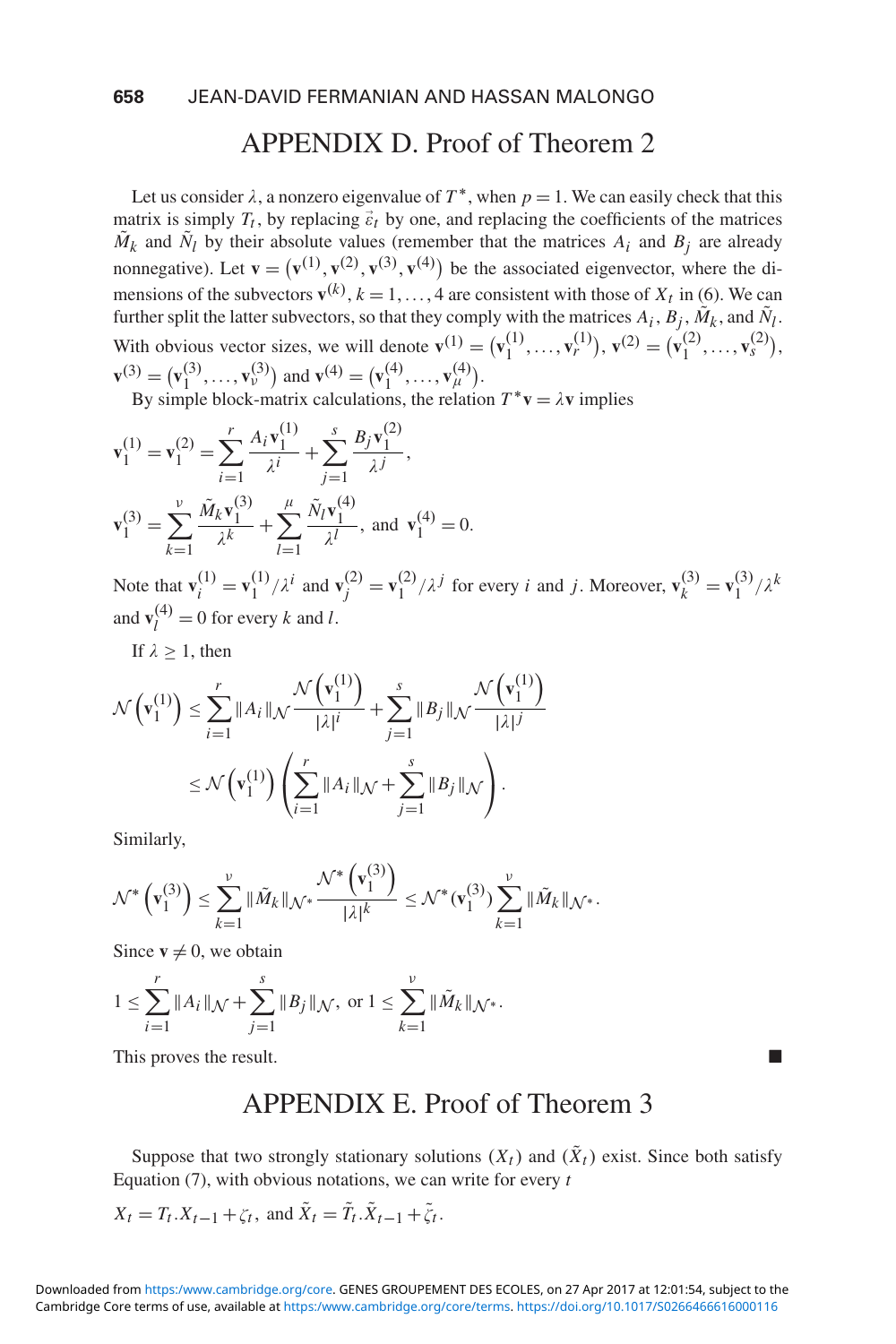# APPENDIX D. Proof of Theorem 2

Let us consider  $\lambda$ , a nonzero eigenvalue of  $T^*$ , when  $p = 1$ . We can easily check that this matrix is simply  $T_t$ , by replacing  $\vec{\epsilon}_t$  by one, and replacing the coefficients of the matrices  $M_k$  and  $N_l$  by their absolute values (remember that the matrices  $A_i$  and  $B_j$  are already nonnegative). Let  $\mathbf{v} = (\mathbf{v}^{(1)}, \mathbf{v}^{(2)}, \mathbf{v}^{(3)}, \mathbf{v}^{(4)})$  be the associated eigenvector, where the dimensions of the subvectors  $\mathbf{v}^{(k)}$ ,  $k = 1, \ldots, 4$  are consistent with those of  $X_t$  in (6). We can further split the latter subvectors, so that they comply with the matrices  $A_i$ ,  $B_j$ ,  $M_k$ , and  $N_l$ . With obvious vector sizes, we will denote  $\mathbf{v}^{(1)} = (\mathbf{v}_1^{(1)}, ..., \mathbf{v}_r^{(1)}), \mathbf{v}^{(2)} = (\mathbf{v}_1^{(2)}, ..., \mathbf{v}_s^{(2)}),$  $\mathbf{v}^{(3)} = (\mathbf{v}_1^{(3)}, \dots, \mathbf{v}_v^{(3)})$  and  $\mathbf{v}^{(4)} = (\mathbf{v}_1^{(4)}, \dots, \mathbf{v}_u^{(4)}).$ 

By simple block-matrix calculations, the relation  $T^*v = \lambda v$  implies

$$
\mathbf{v}_1^{(1)} = \mathbf{v}_1^{(2)} = \sum_{i=1}^r \frac{A_i \mathbf{v}_1^{(1)}}{\lambda^i} + \sum_{j=1}^s \frac{B_j \mathbf{v}_1^{(2)}}{\lambda^j},
$$
  

$$
\mathbf{v}_1^{(3)} = \sum_{k=1}^v \frac{\tilde{M}_k \mathbf{v}_1^{(3)}}{\lambda^k} + \sum_{l=1}^\mu \frac{\tilde{N}_l \mathbf{v}_1^{(4)}}{\lambda^l}, \text{ and } \mathbf{v}_1^{(4)} = 0.
$$

Note that  $\mathbf{v}_i^{(1)} = \mathbf{v}_1^{(1)}/\lambda^i$  and  $\mathbf{v}_j^{(2)} = \mathbf{v}_1^{(2)}/\lambda^j$  for every *i* and *j*. Moreover,  $\mathbf{v}_k^{(3)} = \mathbf{v}_1^{(3)}/\lambda^k$ and  $\mathbf{v}_l^{(4)} = 0$  for every *k* and *l*.

If  $\lambda > 1$ , then

$$
\mathcal{N}\left(\mathbf{v}_{1}^{(1)}\right) \leq \sum_{i=1}^{r} ||A_{i}||_{\mathcal{N}} \frac{\mathcal{N}\left(\mathbf{v}_{1}^{(1)}\right)}{|\lambda|^{i}} + \sum_{j=1}^{s} ||B_{j}||_{\mathcal{N}} \frac{\mathcal{N}\left(\mathbf{v}_{1}^{(1)}\right)}{|\lambda|^{j}}
$$

$$
\leq \mathcal{N}\left(\mathbf{v}_{1}^{(1)}\right) \left(\sum_{i=1}^{r} ||A_{i}||_{\mathcal{N}} + \sum_{j=1}^{s} ||B_{j}||_{\mathcal{N}}\right).
$$

Similarly,

$$
\mathcal{N}^*\left(\mathbf{v}_1^{(3)}\right) \leq \sum_{k=1}^{\nu} \|\tilde{M}_k\|_{\mathcal{N}^*} \frac{\mathcal{N}^*\left(\mathbf{v}_1^{(3)}\right)}{|\lambda|^k} \leq \mathcal{N}^*(\mathbf{v}_1^{(3)}) \sum_{k=1}^{\nu} \|\tilde{M}_k\|_{\mathcal{N}^*}.
$$

Since  $v \neq 0$ , we obtain

$$
1 \leq \sum_{i=1}^r \|A_i\|_{\mathcal{N}} + \sum_{j=1}^s \|B_j\|_{\mathcal{N}}, \text{ or } 1 \leq \sum_{k=1}^{\nu} \|\tilde{M}_k\|_{\mathcal{N}^*}.
$$

This proves the result.

# APPENDIX E. Proof of Theorem 3

Suppose that two strongly stationary solutions  $(X_t)$  and  $(\tilde{X}_t)$  exist. Since both satisfy Equation (7), with obvious notations, we can write for every *t*

$$
X_t = T_t \cdot X_{t-1} + \zeta_t, \text{ and } \tilde{X}_t = \tilde{T}_t \cdot \tilde{X}_{t-1} + \tilde{\zeta}_t.
$$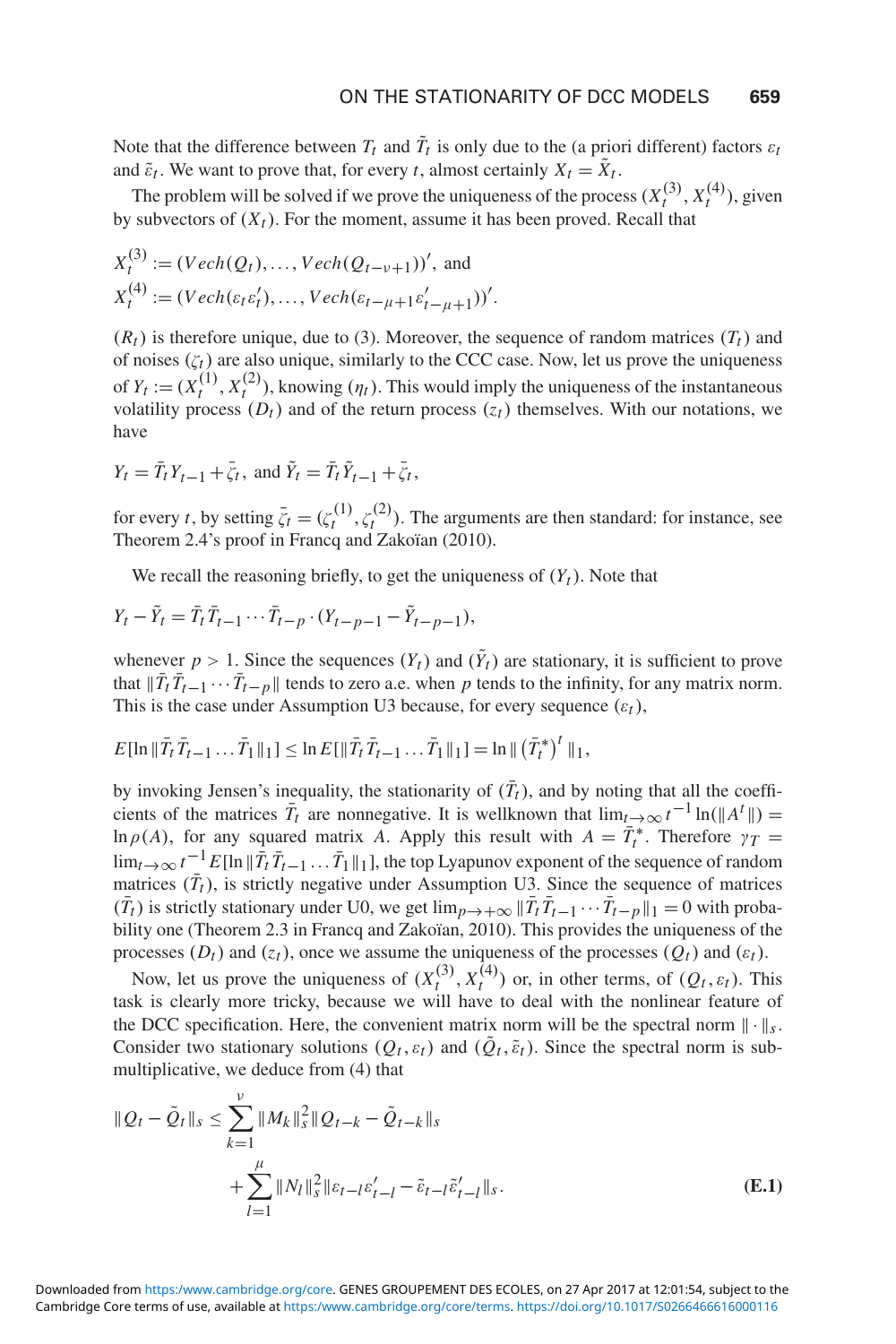Note that the difference between  $T_t$  and  $T_t$  is only due to the (a priori different) factors  $\varepsilon_t$ and  $\tilde{\varepsilon}_t$ . We want to prove that, for every *t*, almost certainly  $X_t = \tilde{X}_t$ .

The problem will be solved if we prove the uniqueness of the process  $(X_t^{(3)}, X_t^{(4)})$ , given by subvectors of  $(X_t)$ . For the moment, assume it has been proved. Recall that

$$
X_t^{(3)} := (Vech(Q_t), ..., Vech(Q_{t-\nu+1}))', \text{ and}
$$
  

$$
X_t^{(4)} := (Vech(\varepsilon_t \varepsilon'_t), ..., Vech(\varepsilon_{t-\mu+1} \varepsilon'_{t-\mu+1}))'.
$$

 $(R_t)$  is therefore unique, due to (3). Moreover, the sequence of random matrices  $(T_t)$  and of noises  $(\zeta_t)$  are also unique, similarly to the CCC case. Now, let us prove the uniqueness of  $Y_t := (X_t^{(1)}, X_t^{(2)})$ , knowing  $(\eta_t)$ . This would imply the uniqueness of the instantaneous volatility process  $(D_t)$  and of the return process  $(z_t)$  themselves. With our notations, we have

$$
Y_t = \overline{T}_t Y_{t-1} + \overline{\zeta}_t, \text{ and } \overline{Y}_t = \overline{T}_t \overline{Y}_{t-1} + \overline{\zeta}_t,
$$

for every *t*, by setting  $\bar{\zeta}_t = (\zeta_t^{(1)}, \zeta_t^{(2)})$ . The arguments are then standard: for instance, see Theorem 2.4's proof in Francq and Zakoïan (2010).

We recall the reasoning briefly, to get the uniqueness of  $(Y_t)$ . Note that

$$
Y_t - \tilde{Y}_t = \bar{T}_t \bar{T}_{t-1} \cdots \bar{T}_{t-p} \cdot (Y_{t-p-1} - \tilde{Y}_{t-p-1}),
$$

whenever  $p > 1$ . Since the sequences  $(Y_t)$  and  $(Y_t)$  are stationary, it is sufficient to prove that  $\|T_t T_{t-1} \cdots T_{t-p}\|$  tends to zero a.e. when *p* tends to the infinity, for any matrix norm. This is the case under Assumption U3 because, for every sequence  $(\varepsilon_t)$ ,

$$
E[\ln \|\bar{T}_t \bar{T}_{t-1} \dots \bar{T}_1\|_1] \leq \ln E[\|\bar{T}_t \bar{T}_{t-1} \dots \bar{T}_1\|_1] = \ln \|\left(\bar{T}_t^*\right)^t\|_1,
$$

by invoking Jensen's inequality, the stationarity of  $(T_t)$ , and by noting that all the coefficients of the matrices  $\overline{T}_t$  are nonnegative. It is wellknown that  $\lim_{t\to\infty} t^{-1} \ln(\Vert A^t \Vert) =$  $\ln \rho(A)$ , for any squared matrix *A*. Apply this result with  $A = T_t^*$ . Therefore  $\gamma_T =$  $\lim_{t\to\infty} t^{-1}E[\ln \|\bar{T}_t\bar{T}_{t-1} \dots \bar{T}_1\|_1]$ , the top Lyapunov exponent of the sequence of random matrices  $(T_t)$ , is strictly negative under Assumption U3. Since the sequence of matrices  $(T_t)$  is strictly stationary under U0, we get  $\lim_{p \to +\infty} \|T_t T_{t-1} \cdots T_{t-p}\|_1 = 0$  with probability one (Theorem 2.3 in Francq and Zakoïan, 2010). This provides the uniqueness of the processes  $(D_t)$  and  $(z_t)$ , once we assume the uniqueness of the processes  $(Q_t)$  and  $(\varepsilon_t)$ .

Now, let us prove the uniqueness of  $(X_t^{(3)}, X_t^{(4)})$  or, in other terms, of  $(Q_t, \varepsilon_t)$ . This task is clearly more tricky, because we will have to deal with the nonlinear feature of the DCC specification. Here, the convenient matrix norm will be the spectral norm  $\|\cdot\|_{\infty}$ . Consider two stationary solutions  $(Q_t, \varepsilon_t)$  and  $(\tilde{Q}_t, \tilde{\varepsilon}_t)$ . Since the spectral norm is submultiplicative, we deduce from (4) that

$$
\|Q_t - \tilde{Q}_t\|_s \le \sum_{k=1}^{\nu} \|M_k\|_s^2 \|Q_{t-k} - \tilde{Q}_{t-k}\|_s
$$
  
+ 
$$
\sum_{l=1}^{\mu} \|N_l\|_s^2 \| \varepsilon_{t-l} \varepsilon'_{t-l} - \tilde{\varepsilon}_{t-l} \tilde{\varepsilon}'_{t-l} \|_s.
$$
 (E.1)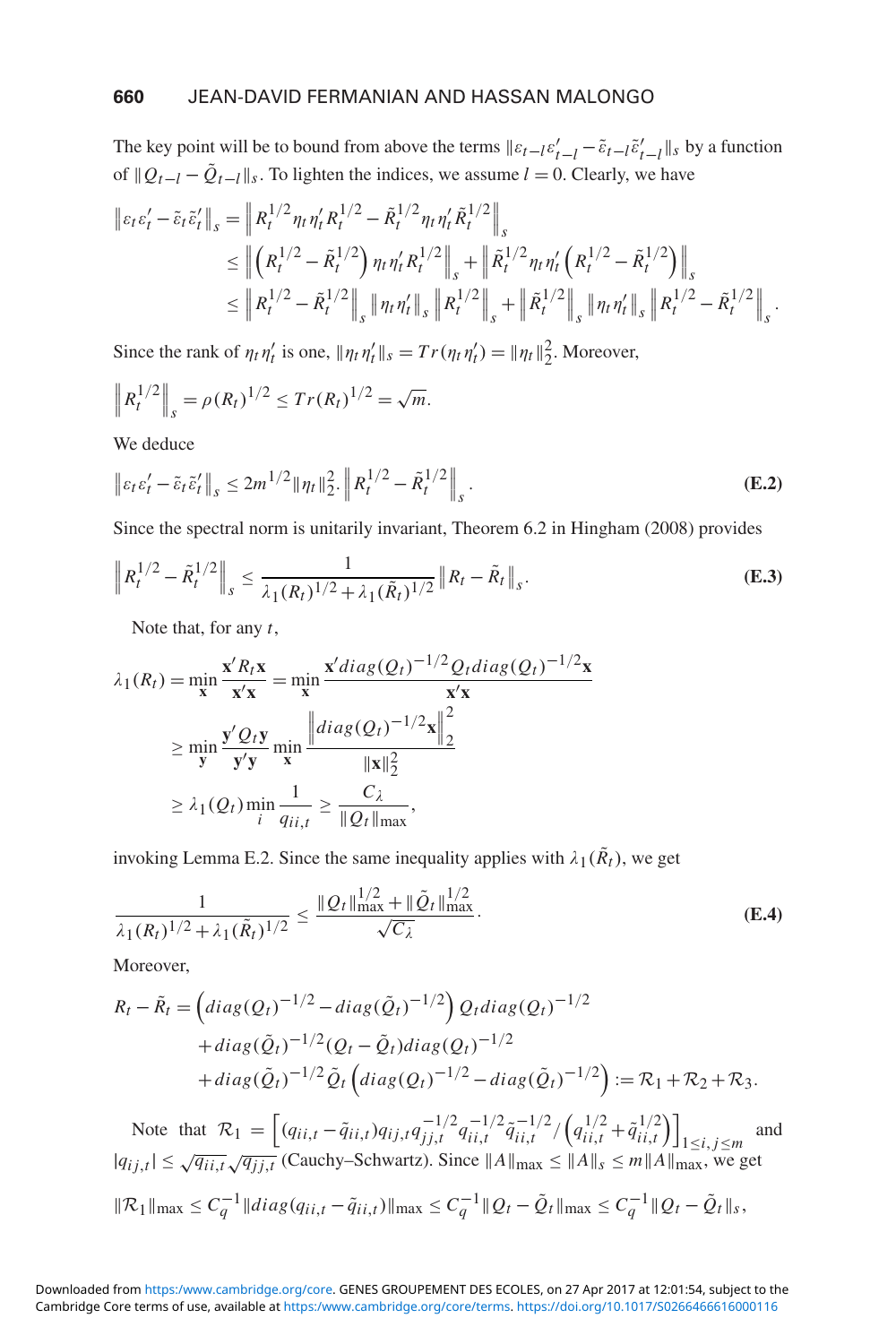The key point will be to bound from above the terms  $\|\varepsilon_{t-l}\varepsilon'_{t-l} - \tilde{\varepsilon}_{t-l}\tilde{\varepsilon}'_{t-l}\|$  by a function of  $||Q_t$ <sub>−*l*</sub> −  $\tilde{Q}_t$ <sub>−*l*</sub> ||s. To lighten the indices, we assume *l* = 0. Clearly, we have

$$
\| \varepsilon_{t} \varepsilon_{t}' - \tilde{\varepsilon}_{t} \tilde{\varepsilon}_{t}' \|_{s} = \| R_{t}^{1/2} \eta_{t} \eta_{t}' R_{t}^{1/2} - \tilde{R}_{t}^{1/2} \eta_{t} \eta_{t}' \tilde{R}_{t}^{1/2} \|_{s}
$$
  
\n
$$
\leq \| (R_{t}^{1/2} - \tilde{R}_{t}^{1/2}) \eta_{t} \eta_{t}' R_{t}^{1/2} \|_{s} + \| \tilde{R}_{t}^{1/2} \eta_{t} \eta_{t}' (R_{t}^{1/2} - \tilde{R}_{t}^{1/2}) \|_{s}
$$
  
\n
$$
\leq \| R_{t}^{1/2} - \tilde{R}_{t}^{1/2} \|_{s} \| \eta_{t} \eta_{t}' \|_{s} \| R_{t}^{1/2} \|_{s} + \| \tilde{R}_{t}^{1/2} \|_{s} \| \eta_{t} \eta_{t}' \|_{s} \| R_{t}^{1/2} - \tilde{R}_{t}^{1/2} \|_{s} .
$$

Since the rank of  $\eta_t \eta'_t$  is one,  $\|\eta_t \eta'_t\|_s = Tr(\eta_t \eta'_t) = \|\eta_t\|_2^2$ . Moreover,

$$
\left\| R_t^{1/2} \right\|_s = \rho(R_t)^{1/2} \leq Tr(R_t)^{1/2} = \sqrt{m}.
$$

We deduce

$$
\left\| \varepsilon_t \varepsilon'_t - \tilde{\varepsilon}_t \tilde{\varepsilon}'_t \right\|_s \leq 2m^{1/2} \|\eta_t\|_2^2 \cdot \left\| R_t^{1/2} - \tilde{R}_t^{1/2} \right\|_s.
$$
 (E.2)

Since the spectral norm is unitarily invariant, Theorem 6.2 in Hingham (2008) provides

$$
\left\| R_t^{1/2} - \tilde{R}_t^{1/2} \right\|_s \le \frac{1}{\lambda_1 (R_t)^{1/2} + \lambda_1 (\tilde{R}_t)^{1/2}} \left\| R_t - \tilde{R}_t \right\|_s.
$$
 (E.3)

Note that, for any *t*,

$$
\lambda_1(R_t) = \min_{\mathbf{x}} \frac{\mathbf{x}' R_t \mathbf{x}}{\mathbf{x}' \mathbf{x}} = \min_{\mathbf{x}} \frac{\mathbf{x}' diag(Q_t)^{-1/2} Q_t diag(Q_t)^{-1/2} \mathbf{x}}{\mathbf{x}' \mathbf{x}}
$$
  
\n
$$
\geq \min_{\mathbf{y}} \frac{\mathbf{y}' Q_t \mathbf{y}}{\mathbf{y}' \mathbf{y}} \min_{\mathbf{x}} \frac{\left\| diag(Q_t)^{-1/2} \mathbf{x} \right\|_2^2}{\|\mathbf{x}\|_2^2}
$$
  
\n
$$
\geq \lambda_1(Q_t) \min_{i} \frac{1}{q_{ii,t}} \geq \frac{C_{\lambda}}{\|Q_t\|_{\text{max}}},
$$

invoking Lemma E.2. Since the same inequality applies with  $\lambda_1(\tilde{R}_t)$ , we get

$$
\frac{1}{\lambda_1(R_t)^{1/2} + \lambda_1(\tilde{R}_t)^{1/2}} \le \frac{\|Q_t\|_{\max}^{1/2} + \|\tilde{Q}_t\|_{\max}^{1/2}}{\sqrt{C_\lambda}}.
$$
 (E.4)

Moreover,

$$
R_t - \tilde{R}_t = \left(\operatorname{diag}(Q_t)^{-1/2} - \operatorname{diag}(\tilde{Q}_t)^{-1/2}\right) Q_t \operatorname{diag}(Q_t)^{-1/2} + \operatorname{diag}(\tilde{Q}_t)^{-1/2} (Q_t - \tilde{Q}_t) \operatorname{diag}(Q_t)^{-1/2} + \operatorname{diag}(\tilde{Q}_t)^{-1/2} \tilde{Q}_t \left(\operatorname{diag}(Q_t)^{-1/2} - \operatorname{diag}(\tilde{Q}_t)^{-1/2}\right) := \mathcal{R}_1 + \mathcal{R}_2 + \mathcal{R}_3.
$$

Note that  $\mathcal{R}_1 = \left[ (q_{ii,t} - \tilde{q}_{ii,t}) q_{ij,t} q_{jj,t}^{-1/2} q_{ii,t}^{-1/2} \tilde{q}_{ii,t}^{-1/2} / (q_{ii,t}^{1/2} + \tilde{q}_{ii,t}^{1/2}) \right]$  $\begin{bmatrix} 1/2 \\ ii,t \end{bmatrix}$ <br>  $\begin{bmatrix} 1 \\ 1 \le i, j \le m \end{bmatrix}$  and  $|q_{ij,t}| \leq \sqrt{q_{ii,t}} \sqrt{q_{jj,t}}$  (Cauchy–Schwartz). Since  $||A||_{\text{max}} \leq ||A||_s \leq m||A||_{\text{max}}$ , we get  $\|\mathcal{R}_1\|_{\max} \leq C_q^{-1} \|diag(q_{ii,t} - \tilde{q}_{ii,t})\|_{\max} \leq C_q^{-1} \|Q_t - \tilde{Q}_t\|_{\max} \leq C_q^{-1} \|Q_t - \tilde{Q}_t\|_s,$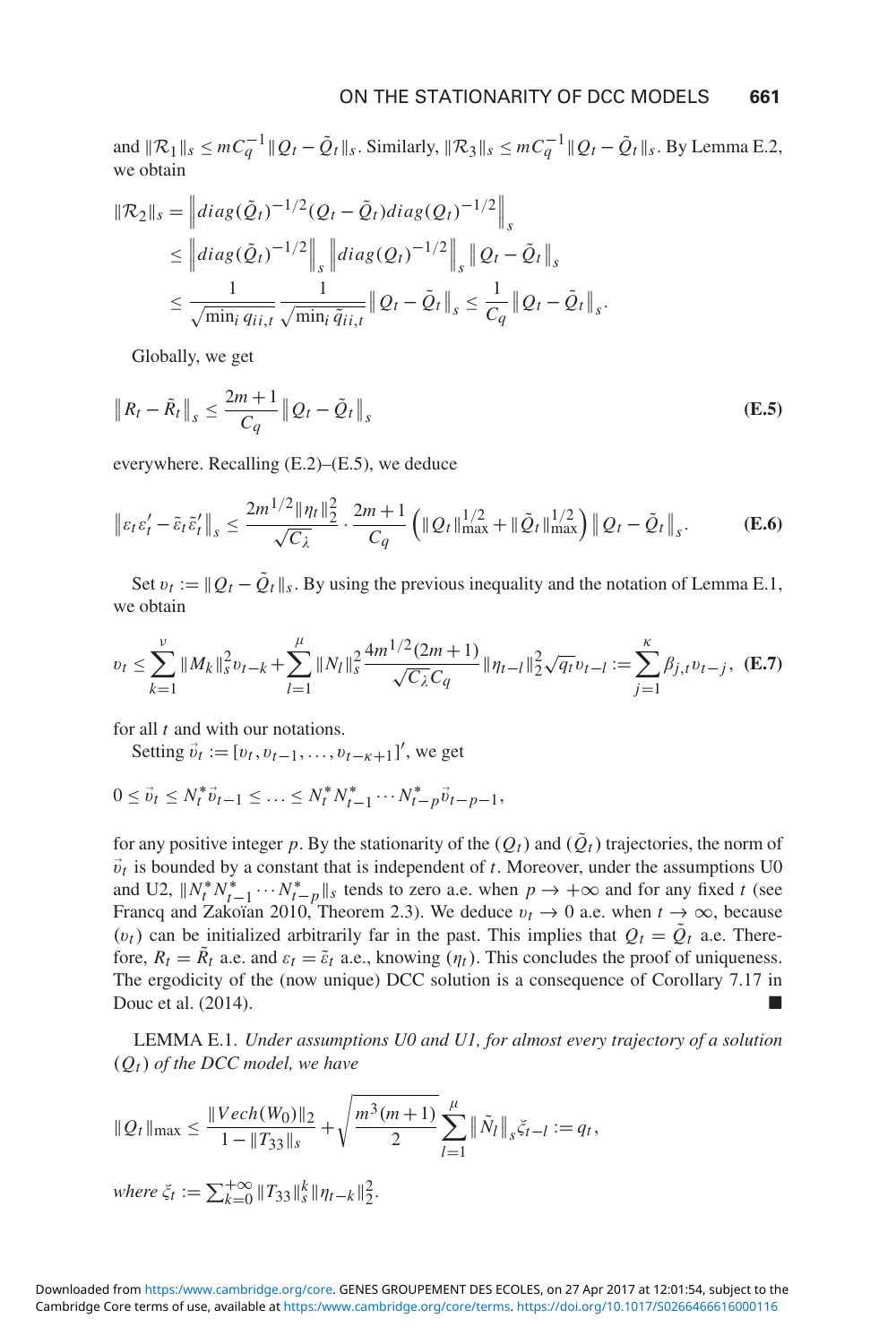and  $\|\mathcal{R}_1\|_s \leq mC_q^{-1} \|\mathcal{Q}_t - \tilde{\mathcal{Q}}_t\|_s$ . Similarly,  $\|\mathcal{R}_3\|_s \leq mC_q^{-1} \|\mathcal{Q}_t - \tilde{\mathcal{Q}}_t\|_s$ . By Lemma E.2, we obtain

$$
\begin{split} \|\mathcal{R}_2\|_{s} &= \left\| diag(\tilde{Q}_t)^{-1/2} (Q_t - \tilde{Q}_t) diag(Q_t)^{-1/2} \right\|_{s} \\ &\leq \left\| diag(\tilde{Q}_t)^{-1/2} \right\|_{s} \left\| diag(Q_t)^{-1/2} \right\|_{s} \left\| Q_t - \tilde{Q}_t \right\|_{s} \\ &\leq \frac{1}{\sqrt{\min_i q_{ii,t}}} \frac{1}{\sqrt{\min_i \tilde{q}_{ii,t}}} \left\| Q_t - \tilde{Q}_t \right\|_{s} \leq \frac{1}{C_q} \left\| Q_t - \tilde{Q}_t \right\|_{s}. \end{split}
$$

Globally, we get

$$
\|R_t - \tilde{R}_t\|_s \le \frac{2m+1}{C_q} \|Q_t - \tilde{Q}_t\|_s
$$
 (E.5)

everywhere. Recalling (E.2)–(E.5), we deduce

$$
\|\varepsilon_t \varepsilon'_t - \tilde{\varepsilon}_t \tilde{\varepsilon}'_t\|_s \le \frac{2m^{1/2} \|\eta_t\|_2^2}{\sqrt{C_\lambda}} \cdot \frac{2m+1}{C_q} \left( \|Q_t\|_{\max}^{1/2} + \|\tilde{Q}_t\|_{\max}^{1/2} \right) \|Q_t - \tilde{Q}_t\|_s. \tag{E.6}
$$

Set  $v_t := ||Q_t - \tilde{Q}_t||_s$ . By using the previous inequality and the notation of Lemma E.1, we obtain

$$
v_t \leq \sum_{k=1}^{\nu} \|M_k\|_{s}^{2} v_{t-k} + \sum_{l=1}^{\mu} \|N_l\|_{s}^{2} \frac{4m^{1/2}(2m+1)}{\sqrt{C_{\lambda}} C_q} \|\eta_{t-l}\|_{2}^{2} \sqrt{q_t} v_{t-l} := \sum_{j=1}^{\kappa} \beta_{j,t} v_{t-j}, \quad \textbf{(E.7)}
$$

for all *t* and with our notations.

Setting  $\vec{v}_t := [v_t, v_{t-1}, \dots, v_{t-\kappa+1}]'$ , we get

$$
0 \leq \vec{v}_t \leq N_t^* \vec{v}_{t-1} \leq \ldots \leq N_t^* N_{t-1}^* \cdots N_{t-p}^* \vec{v}_{t-p-1},
$$

for any positive integer p. By the stationarity of the  $(Q_t)$  and  $(\tilde{Q}_t)$  trajectories, the norm of  $\vec{v}_t$  is bounded by a constant that is independent of *t*. Moreover, under the assumptions U0 and U2,  $\|N_t^* N_{t-1}^* \cdots N_{t-p}^* \|_s$  tends to zero a.e. when  $p \to +\infty$  and for any fixed *t* (see Francq and Zakoïan 2010, Theorem 2.3). We deduce  $v_t \to 0$  a.e. when  $t \to \infty$ , because  $(v_t)$  can be initialized arbitrarily far in the past. This implies that  $Q_t = \tilde{Q}_t$  a.e. Therefore,  $R_t = \tilde{R}_t$  a.e. and  $\varepsilon_t = \tilde{\varepsilon}_t$  a.e., knowing  $(\eta_t)$ . This concludes the proof of uniqueness. The ergodicity of the (now unique) DCC solution is a consequence of Corollary 7.17 in Douc et al. (2014).

LEMMA E.1. *Under assumptions U0 and U1, for almost every trajectory of a solution* (*Qt*) *of the DCC model, we have*

$$
\|Q_t\|_{\max} \le \frac{\|Vec(h(W_0)\|_2}{1 - \|T_{33}\|_s} + \sqrt{\frac{m^3(m+1)}{2}} \sum_{l=1}^{\mu} \|\tilde{N}_l\|_s \xi_{t-l} := q_t,
$$
  
where  $\xi_t := \sum_{k=0}^{+\infty} \|T_{33}\|_s^k \|\eta_{t-k}\|_2^2.$ 

Cambridge Core terms of use, available at <https:/www.cambridge.org/core/terms>.<https://doi.org/10.1017/S0266466616000116> Downloaded from <https:/www.cambridge.org/core>. GENES GROUPEMENT DES ECOLES, on 27 Apr 2017 at 12:01:54, subject to the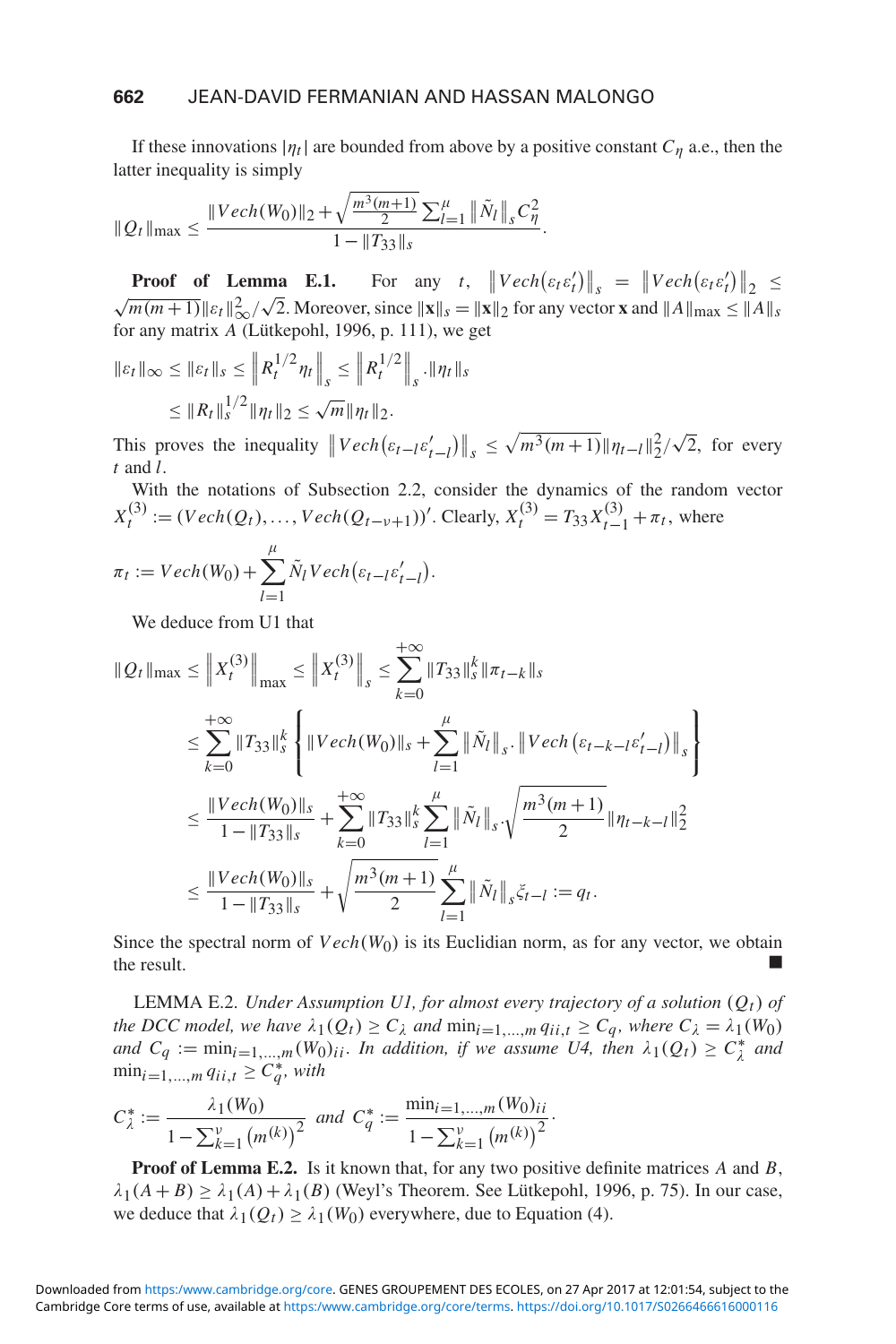If these innovations  $|\eta_t|$  are bounded from above by a positive constant  $C_\eta$  a.e., then the latter inequality is simply

$$
\|Q_t\|_{\max} \le \frac{\|Vech(W_0)\|_2 + \sqrt{\frac{m^3(m+1)}{2}}\sum_{l=1}^{\mu} \|\tilde{N}_l\|_s C_{\eta}^2}{1 - \|T_{33}\|_s}.
$$

**Proof of Lemma E.1.** For any *t*,  $\left\| Vech(\varepsilon_t \varepsilon'_t) \right\|_S = \left\| Vech(\varepsilon_t \varepsilon'_t) \right\|_2 \leq$  $\sqrt{m(m+1)} \| \varepsilon_t \|_{\infty}^2 / \sqrt{2}$ . Moreover, since  $\|\mathbf{x}\|_{s} = \|\mathbf{x}\|_{2}$  for any vector **x** and  $\|A\|_{\max} \le \|A\|_{s}$ for any matrix  $A$  (Lütkepohl, 1996, p. 111), we get

$$
\| \varepsilon_t \|_{\infty} \le \| \varepsilon_t \|_s \le \| R_t^{1/2} \eta_t \|_s \le \| R_t^{1/2} \|_s \cdot \|\eta_t \|_s
$$
  

$$
\le \| R_t \|_s^{1/2} \|\eta_t \|_2 \le \sqrt{m} \|\eta_t \|_2.
$$

This proves the inequality  $\| Vech(e_{t-l}e'_{t-l}) \|_{s} \leq \sqrt{m^3(m+1)} \|\eta_{t-l}\|_2^2/\sqrt{2}$ , for every *t* and *l*.

With the notations of Subsection 2.2, consider the dynamics of the random vector  $X_t^{(3)} := (Vech(Q_t), \dots, Vech(Q_{t-v+1}))'$ . Clearly,  $X_t^{(3)} = T_{33}X_{t-1}^{(3)} + \pi_t$ , where

$$
\pi_t := Vech(W_0) + \sum_{l=1}^{\mu} \tilde{N}_l Vech(\varepsilon_{t-l} \varepsilon'_{t-l}).
$$

We deduce from U1 that

$$
\|Q_t\|_{\max} \le \|X_t^{(3)}\|_{\max} \le \|X_t^{(3)}\|_{s} \le \sum_{k=0}^{+\infty} \|T_{33}\|_{s}^{k} \|\pi_{t-k}\|_{s}
$$
  
\n
$$
\le \sum_{k=0}^{+\infty} \|T_{33}\|_{s}^{k} \left\{ \|Vech(W_0)\|_{s} + \sum_{l=1}^{\mu} \|\tilde{N}_l\|_{s} \cdot \|Vech(\varepsilon_{t-k-l}\varepsilon_{t-l}')\|_{s} \right\}
$$
  
\n
$$
\le \frac{\|Vech(W_0)\|_{s}}{1 - \|T_{33}\|_{s}} + \sum_{k=0}^{+\infty} \|T_{33}\|_{s}^{k} \sum_{l=1}^{\mu} \|\tilde{N}_l\|_{s} \cdot \sqrt{\frac{m^3(m+1)}{2}} \|\eta_{t-k-l}\|_{2}^{2}
$$
  
\n
$$
\le \frac{\|Vech(W_0)\|_{s}}{1 - \|T_{33}\|_{s}} + \sqrt{\frac{m^3(m+1)}{2}} \sum_{l=1}^{\mu} \|\tilde{N}_l\|_{s} \xi_{t-l} := q_t.
$$

Since the spectral norm of  $Vech(W_0)$  is its Euclidian norm, as for any vector, we obtain the result. the result.

LEMMA E.2. *Under Assumption U1, for almost every trajectory of a solution* (*Qt*) *of the DCC model, we have*  $\lambda_1(Q_t) \ge C_{\lambda}$  *and*  $\min_{i=1,\dots,m} q_{ii,t} \ge C_q$ *, where*  $C_{\lambda} = \lambda_1(W_0)$ *and*  $C_q := \min_{i=1,\dots,m} (W_0)_{ii}$ . *In addition, if we assume U4, then*  $\lambda_1(Q_t) \geq C_{\lambda}^*$  *and*  $\min_{i=1,\dots,m} q_{ii,t} \geq C_q^*$ , with

$$
C_{\lambda}^{*} := \frac{\lambda_1(W_0)}{1 - \sum_{k=1}^{\nu} (m^{(k)})^2} \text{ and } C_q^{*} := \frac{\min_{i=1,\dots,m} (W_0)_{ii}}{1 - \sum_{k=1}^{\nu} (m^{(k)})^2}.
$$

**Proof of Lemma E.2.** Is it known that, for any two positive definite matrices *A* and *B*,  $\lambda_1(A + B) \geq \lambda_1(A) + \lambda_1(B)$  (Weyl's Theorem. See Lütkepohl, 1996, p. 75). In our case, we deduce that  $\lambda_1(Q_t) \geq \lambda_1(W_0)$  everywhere, due to Equation (4).